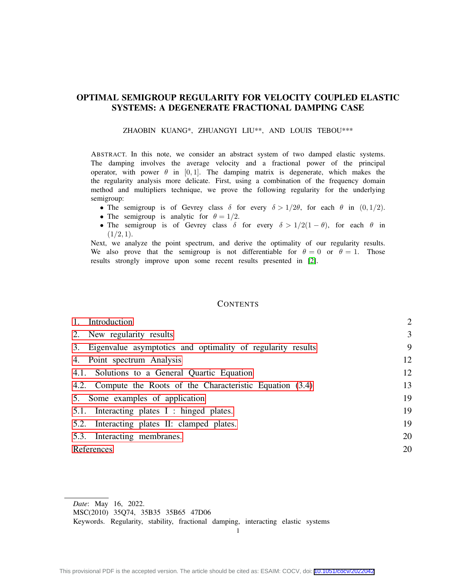# OPTIMAL SEMIGROUP REGULARITY FOR VELOCITY COUPLED ELASTIC SYSTEMS: A DEGENERATE FRACTIONAL DAMPING CASE

ZHAOBIN KUANG\*, ZHUANGYI LIU\*\*, AND LOUIS TEBOU\*\*\*

ABSTRACT. In this note, we consider an abstract system of two damped elastic systems. The damping involves the average velocity and a fractional power of the principal operator, with power  $\theta$  in [0, 1]. The damping matrix is degenerate, which makes the the regularity analysis more delicate. First, using a combination of the frequency domain method and multipliers technique, we prove the following regularity for the underlying semigroup:

- The semigroup is of Gevrey class  $\delta$  for every  $\delta > 1/2\theta$ , for each  $\theta$  in (0,1/2).
- The semigroup is analytic for  $\theta = 1/2$ .
- The semigroup is of Gevrey class  $\delta$  for every  $\delta > 1/2(1 \theta)$ , for each  $\theta$  in  $(1/2, 1)$ .

Next, we analyze the point spectrum, and derive the optimality of our regularity results. We also prove that the semigroup is not differentiable for  $\theta = 0$  or  $\theta = 1$ . Those results strongly improve upon some recent results presented in [\[2\]](#page-19-0).

## **CONTENTS**

| 1. Introduction                                                | $\overline{2}$ |
|----------------------------------------------------------------|----------------|
| 2. New regularity results                                      | $\overline{3}$ |
| 3. Eigenvalue asymptotics and optimality of regularity results | 9              |
| 4. Point spectrum Analysis                                     | 12             |
| 4.1. Solutions to a General Quartic Equation                   | 12             |
| 4.2. Compute the Roots of the Characteristic Equation (3.4)    | 13             |
| 5. Some examples of application                                | 19             |
| 5.1. Interacting plates I : hinged plates.                     | 19             |
| 5.2. Interacting plates II: clamped plates.                    | 19             |
| 5.3. Interacting membranes.                                    | 20             |
| References                                                     | 20             |

Keywords. Regularity, stability, fractional damping, interacting elastic systems

1

*Date*: May 16, 2022.

MSC(2010) 35Q74, 35B35 35B65 47D06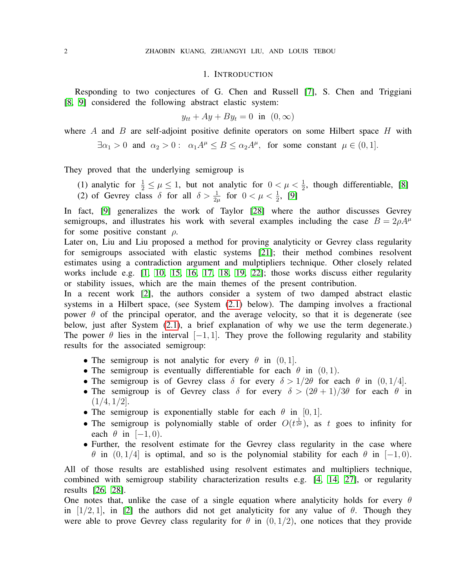## 1. INTRODUCTION

<span id="page-1-0"></span>Responding to two conjectures of G. Chen and Russell [\[7\]](#page-19-3), S. Chen and Triggiani [\[8,](#page-19-4) [9\]](#page-19-5) considered the following abstract elastic system:

$$
y_{tt} + Ay + By_t = 0 \text{ in } (0, \infty)
$$

where A and B are self-adjoint positive definite operators on some Hilbert space  $H$  with

 $\exists \alpha_1 > 0$  and  $\alpha_2 > 0$ :  $\alpha_1 A^{\mu} \le B \le \alpha_2 A^{\mu}$ , for some constant  $\mu \in (0,1]$ .

They proved that the underlying semigroup is

- (1) analytic for  $\frac{1}{2} \leq \mu \leq 1$ , but not analytic for  $0 < \mu < \frac{1}{2}$ , though differentiable, [\[8\]](#page-19-4)
- (2) of Gevrey class  $\delta$  for all  $\delta > \frac{1}{2\mu}$  for  $0 < \mu < \frac{1}{2}$ , [\[9\]](#page-19-5)

In fact, [\[9\]](#page-19-5) generalizes the work of Taylor [\[28\]](#page-20-0) where the author discusses Gevrey semigroups, and illustrates his work with several examples including the case  $B = 2\rho A^{\mu}$ for some positive constant  $\rho$ .

Later on, Liu and Liu proposed a method for proving analyticity or Gevrey class regularity for semigroups associated with elastic systems [\[21\]](#page-20-1); their method combines resolvent estimates using a contradiction argument and mulptipliers technique. Other closely related works include e.g. [\[1,](#page-19-6) [10,](#page-19-7) [15,](#page-19-8) [16,](#page-19-9) [17,](#page-20-2) [18,](#page-20-3) [19,](#page-20-4) [22\]](#page-20-5); those works discuss either regularity or stability issues, which are the main themes of the present contribution.

In a recent work [\[2\]](#page-19-0), the authors consider a system of two damped abstract elastic systems in a Hilbert space, (see System [\(2.1\)](#page-2-1) below). The damping involves a fractional power  $\theta$  of the principal operator, and the average velocity, so that it is degenerate (see below, just after System [\(2.1\)](#page-2-1), a brief explanation of why we use the term degenerate.) The power  $\theta$  lies in the interval  $[-1, 1]$ . They prove the following regularity and stability results for the associated semigroup:

- The semigroup is not analytic for every  $\theta$  in  $(0, 1]$ .
- The semigroup is eventually differentiable for each  $\theta$  in  $(0, 1)$ .
- The semigroup is of Gevrey class  $\delta$  for every  $\delta > 1/2\theta$  for each  $\theta$  in  $(0, 1/4]$ .
- The semigroup is of Gevrey class  $\delta$  for every  $\delta > (2\theta + 1)/3\theta$  for each  $\theta$  in  $(1/4, 1/2]$ .
- The semigroup is exponentially stable for each  $\theta$  in [0, 1].
- The semigroup is polynomially stable of order  $O(t^{\frac{1}{2\theta}})$ , as t goes to infinity for each  $\theta$  in [−1, 0).
- Further, the resolvent estimate for the Gevrey class regularity in the case where θ in  $(0, 1/4]$  is optimal, and so is the polynomial stability for each θ in [−1,0).

All of those results are established using resolvent estimates and multipliers technique, combined with semigroup stability characterization results e.g. [\[4,](#page-19-10) [14,](#page-19-11) [27\]](#page-20-6), or regularity results [\[26,](#page-20-7) [28\]](#page-20-0).

One notes that, unlike the case of a single equation where analyticity holds for every  $\theta$ in [1/2, 1], in [\[2\]](#page-19-0) the authors did not get analyticity for any value of  $\theta$ . Though they were able to prove Gevrey class regularity for  $\theta$  in  $(0, 1/2)$ , one notices that they provide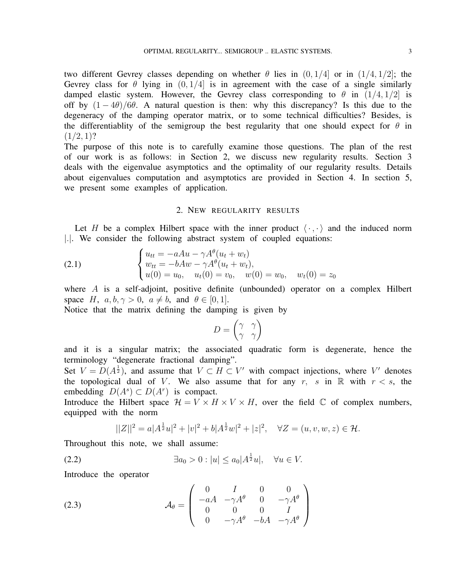two different Gevrey classes depending on whether  $\theta$  lies in  $(0, 1/4]$  or in  $(1/4, 1/2]$ ; the Gevrey class for  $\theta$  lying in  $(0, 1/4)$  is in agreement with the case of a single similarly damped elastic system. However, the Gevrey class corresponding to  $\theta$  in  $(1/4, 1/2)$  is off by  $(1 - 4\theta)/6\theta$ . A natural question is then: why this discrepancy? Is this due to the degeneracy of the damping operator matrix, or to some technical difficulties? Besides, is the differentiablity of the semigroup the best regularity that one should expect for  $\theta$  in  $(1/2, 1)?$ 

The purpose of this note is to carefully examine those questions. The plan of the rest of our work is as follows: in Section 2, we discuss new regularity results. Section 3 deals with the eigenvalue asymptotics and the optimality of our regularity results. Details about eigenvalues computation and asymptotics are provided in Section 4. In section 5, we present some examples of application.

## <span id="page-2-1"></span>2. NEW REGULARITY RESULTS

<span id="page-2-0"></span>Let H be a complex Hilbert space with the inner product  $\langle \cdot, \cdot \rangle$  and the induced norm |.|. We consider the following abstract system of coupled equations:

(2.1) 
$$
\begin{cases} u_{tt} = -aAu - \gamma A^{\theta}(u_t + w_t) \\ w_{tt} = -bAw - \gamma A^{\theta}(u_t + w_t), \\ u(0) = u_0, \quad u_t(0) = v_0, \quad w(0) = w_0, \quad w_t(0) = z_0 \end{cases}
$$

where A is a self-adjoint, positive definite (unbounded) operator on a complex Hilbert space H,  $a, b, \gamma > 0$ ,  $a \neq b$ , and  $\theta \in [0, 1]$ .

Notice that the matrix defining the damping is given by

$$
D = \begin{pmatrix} \gamma & \gamma \\ \gamma & \gamma \end{pmatrix}
$$

and it is a singular matrix; the associated quadratic form is degenerate, hence the terminology "degenerate fractional damping".

Set  $V = D(A^{\frac{1}{2}})$ , and assume that  $V \subset H \subset V'$  with compact injections, where V' denotes the topological dual of V. We also assume that for any r, s in R with  $r < s$ , the embedding  $D(A^s) \subset D(A^r)$  is compact.

Introduce the Hilbert space  $\mathcal{H} = V \times H \times V \times H$ , over the field  $\mathbb C$  of complex numbers, equipped with the norm

$$
||Z||^2 = a|A^{\frac{1}{2}}u|^2 + |v|^2 + b|A^{\frac{1}{2}}w|^2 + |z|^2, \quad \forall Z = (u, v, w, z) \in \mathcal{H}.
$$

Throughout this note, we shall assume:

(2.2) 
$$
\exists a_0 > 0 : |u| \le a_0 |A^{\frac{1}{2}}u|, \quad \forall u \in V.
$$

Introduce the operator

(2.3) 
$$
\mathcal{A}_{\theta} = \begin{pmatrix} 0 & I & 0 & 0 \\ -aA & -\gamma A^{\theta} & 0 & -\gamma A^{\theta} \\ 0 & 0 & 0 & I \\ 0 & -\gamma A^{\theta} & -bA & -\gamma A^{\theta} \end{pmatrix}
$$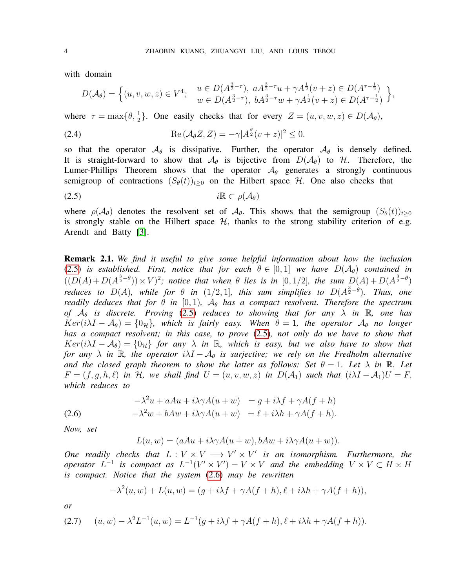with domain

<span id="page-3-3"></span>
$$
D(\mathcal{A}_{\theta}) = \left\{ (u, v, w, z) \in V^4; \quad \begin{array}{l} u \in D(A^{\frac{3}{2}-\tau}), \ a A^{\frac{3}{2}-\tau} u + \gamma A^{\frac{1}{2}} (v+z) \in D(A^{\tau-\frac{1}{2}}) \\ w \in D(A^{\frac{3}{2}-\tau}), \ b A^{\frac{3}{2}-\tau} w + \gamma A^{\frac{1}{2}} (v+z) \in D(A^{\tau-\frac{1}{2}}) \end{array} \right\},
$$

where  $\tau = \max\{\theta, \frac{1}{2}\}.$  One easily checks that for every  $Z = (u, v, w, z) \in D(\mathcal{A}_{\theta})$ ,

(2.4) 
$$
\operatorname{Re} \left( \mathcal{A}_{\theta} Z, Z \right) = -\gamma |A^{\frac{\theta}{2}} (v+z)|^2 \leq 0.
$$

so that the operator  $\mathcal{A}_{\theta}$  is dissipative. Further, the operator  $\mathcal{A}_{\theta}$  is densely defined. It is straight-forward to show that  $\mathcal{A}_{\theta}$  is bijective from  $D(\mathcal{A}_{\theta})$  to H. Therefore, the Lumer-Phillips Theorem shows that the operator  $A_{\theta}$  generates a strongly continuous semigroup of contractions  $(S_{\theta}(t))_{t>0}$  on the Hilbert space H. One also checks that

<span id="page-3-0"></span>(2.5) iR ⊂ ρ(Aθ)

where  $\rho(\mathcal{A}_{\theta})$  denotes the resolvent set of  $\mathcal{A}_{\theta}$ . This shows that the semigroup  $(S_{\theta}(t))_{t>0}$ is strongly stable on the Hilbert space  $H$ , thanks to the strong stability criterion of e.g. Arendt and Batty [\[3\]](#page-19-12).

Remark 2.1. *We find it useful to give some helpful information about how the inclusion* [\(2.5\)](#page-3-0) *is established. First, notice that for each*  $\theta \in [0,1]$  *we have*  $D(\mathcal{A}_{\theta})$  *contained in*  $((D(A) + D(A^{\frac{3}{2}-\theta})) \times V)^2$ ; notice that when  $\theta$  lies is in [0, 1/2], the sum  $D(A) + D(A^{\frac{3}{2}-\theta})$ *reduces to D(A), while for*  $\theta$  *in* (1/2,1]*, this sum simplifies to D(* $A^{\frac{3}{2}-\theta}$ *). Thus, one readily deduces that for*  $\theta$  *in* [0,1],  $\mathcal{A}_{\theta}$  *has a compact resolvent. Therefore the spectrum of*  $A_{\theta}$  *is discrete. Proving* [\(2.5\)](#page-3-0) *reduces to showing that for any*  $\lambda$  *in* R, *one has*  $Ker(i\lambda I - \mathcal{A}_{\theta}) = \{0_{\mathcal{H}}\}\$ , which is fairly easy. When  $\theta = 1$ , the operator  $\mathcal{A}_{\theta}$  no longer *has a compact resolvent; in this case, to prove* [\(2.5\)](#page-3-0)*, not only do we have to show that*  $Ker(i\lambda I - A_{\theta}) = \{0_{\mathcal{H}}\}$  *for any*  $\lambda$  *in* R, which is easy, but we also have to show that *for any*  $\lambda$  *in*  $\mathbb{R}$ *, the operator*  $i\lambda I - \mathcal{A}_{\theta}$  *is surjective; we rely on the Fredholm alternative and the closed graph theorem to show the latter as follows: Set*  $\theta = 1$ *. Let*  $\lambda$  *in* R*. Let*  $F = (f, g, h, l)$  *in* H, we shall find  $U = (u, v, w, z)$  *in*  $D(A_1)$  *such that*  $(i\lambda I - A_1)U = F$ , *which reduces to*

(2.6) 
$$
-\lambda^2 u + aAu + i\lambda\gamma A(u+w) = g + i\lambda f + \gamma A(f+h)
$$

$$
-\lambda^2 w + bAw + i\lambda\gamma A(u+w) = \ell + i\lambda h + \gamma A(f+h).
$$

*Now, set*

<span id="page-3-1"></span> $L(u, w) = (aAu + i\lambda\gamma A(u + w), bAw + i\lambda\gamma A(u + w)).$ 

*One readily checks that*  $L: V \times V \longrightarrow V' \times V'$  *is an isomorphism. Furthermore, the operator*  $L^{-1}$  *is compact as*  $L^{-1}(V' \times V') = V \times V$  *and the embedding*  $V \times V \subset H \times H$ *is compact. Notice that the system* [\(2.6\)](#page-3-1) *may be rewritten*

$$
-\lambda^{2}(u, w) + L(u, w) = (g + i\lambda f + \gamma A(f + h), \ell + i\lambda h + \gamma A(f + h)),
$$

*or*

<span id="page-3-2"></span>
$$
(2.7) \quad (u, w) - \lambda^2 L^{-1}(u, w) = L^{-1}(g + i\lambda f + \gamma A(f + h), \ell + i\lambda h + \gamma A(f + h)).
$$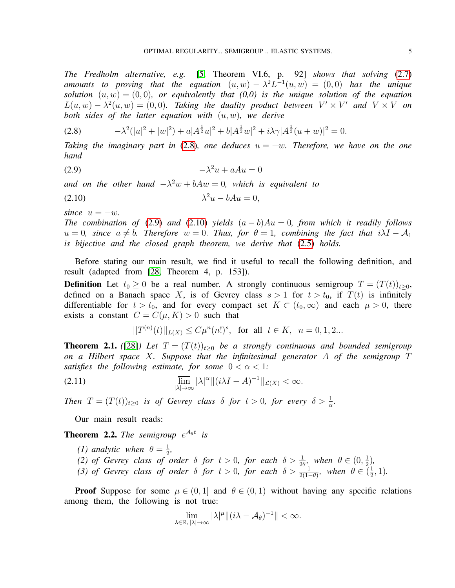*The Fredholm alternative, e.g.* [\[5,](#page-19-13) Theorem VI.6, p. 92] *shows that solving* [\(2.7\)](#page-3-2) *amounts to proving that the equation*  $(u, w) - \lambda^2 L^{-1}(u, w) = (0, 0)$  *has the unique solution*  $(u, w) = (0, 0)$ *, or equivalently that*  $(0, 0)$  *is the unique solution of the equation*  $L(u, w) - \lambda^2(u, w) = (0, 0)$ . Taking the duality product between  $V' \times V'$  and  $V \times V$  on *both sides of the latter equation with* (u, w)*, we derive*

<span id="page-4-0"></span>
$$
(2.8) \t -\lambda^2(|u|^2 + |w|^2) + a|A^{\frac{1}{2}}u|^2 + b|A^{\frac{1}{2}}w|^2 + i\lambda\gamma|A^{\frac{1}{2}}(u+w)|^2 = 0.
$$

*Taking the imaginary part in* [\(2.8\)](#page-4-0)*, one deduces* u = −w*. Therefore, we have on the one hand*

<span id="page-4-1"></span>
$$
-(2.9) \t\t -\lambda^2 u + aAu = 0
$$

and on the other hand  $-\lambda^2 w + bAw = 0$ , which is equivalent to

<span id="page-4-2"></span>
$$
\lambda^2 u - bAu = 0,
$$

*since*  $u = -w$ *.* 

*The combination of* [\(2.9\)](#page-4-1) *and* [\(2.10\)](#page-4-2) *yields*  $(a - b)Au = 0$ , *from which it readily follows*  $u = 0$ , since  $a \neq b$ . Therefore  $w = 0$ . Thus, for  $\theta = 1$ , combining the fact that  $i\lambda I - A_1$ *is bijective and the closed graph theorem, we derive that* [\(2.5\)](#page-3-0) *holds.*

Before stating our main result, we find it useful to recall the following definition, and result (adapted from [\[28,](#page-20-0) Theorem 4, p. 153]).

**Definition** Let  $t_0 \geq 0$  be a real number. A strongly continuous semigroup  $T = (T(t))_{t>0}$ , defined on a Banach space X, is of Gevrey class  $s > 1$  for  $t > t_0$ , if  $T(t)$  is infinitely differentiable for  $t > t_0$ , and for every compact set  $K \subset (t_0, \infty)$  and each  $\mu > 0$ , there exists a constant  $C = C(\mu, K) > 0$  such that

$$
||T^{(n)}(t)||_{L(X)} \le C\mu^{n}(n!)^{s}, \text{ for all } t \in K, n = 0, 1, 2...
$$

<span id="page-4-3"></span>**Theorem 2.1.** ([\[28\]](#page-20-0)) Let  $T = (T(t))_{t>0}$  be a strongly continuous and bounded semigroup *on a Hilbert space* X*. Suppose that the infinitesimal generator* A *of the semigroup* T *satisfies the following estimate, for some*  $0 < \alpha < 1$ *:* 

$$
\lim_{|\lambda| \to \infty} |\lambda|^{\alpha} ||(i\lambda I - A)^{-1}||_{\mathcal{L}(X)} < \infty.
$$

*Then*  $T = (T(t))_{t \geq 0}$  *is of Gevrey class*  $\delta$  *for*  $t > 0$ *, for every*  $\delta > \frac{1}{\alpha}$ *.* 

Our main result reads:

<span id="page-4-4"></span>**Theorem 2.2.** The semigroup  $e^{\mathcal{A}_{\theta}t}$  is

- *(1) analytic when*  $\theta = \frac{1}{2}$  $\frac{1}{2}$ ,
- (2) of Gevrey class of order  $\delta$  for  $t > 0$ , for each  $\delta > \frac{1}{2\theta}$ , when  $\theta \in (0, \frac{1}{2})$  $(\frac{1}{2})$ ,
- (3) of Gevrey class of order  $\delta$  for  $t > 0$ , for each  $\delta > \frac{1}{2(1-\theta)}$ , when  $\theta \in \left(\frac{1}{2}\right)$  $\frac{1}{2}$ , 1).

**Proof** Suppose for some  $\mu \in (0,1]$  and  $\theta \in (0,1)$  without having any specific relations among them, the following is not true:

$$
\overline{\lim}_{\lambda \in \mathbb{R}, |\lambda| \to \infty} |\lambda|^{\mu} \| (i\lambda - \mathcal{A}_{\theta})^{-1} \| < \infty.
$$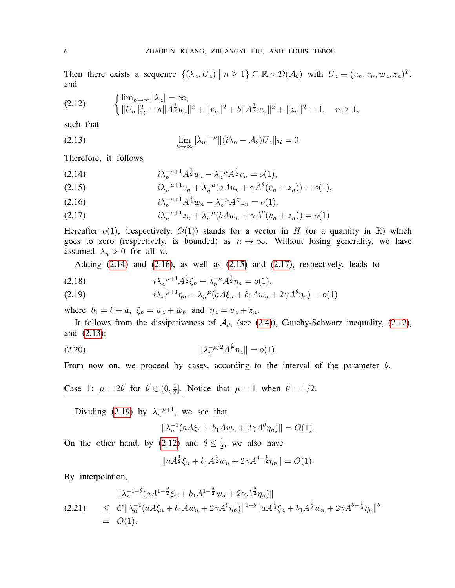Then there exists a sequence  $\{(\lambda_n, U_n) \mid n \geq 1\} \subseteq \mathbb{R} \times \mathcal{D}(\mathcal{A}_{\theta})$  with  $U_n \equiv (u_n, v_n, w_n, z_n)^T$ , and

<span id="page-5-1"></span>
$$
(2.12) \qquad \begin{cases} \lim_{n \to \infty} |\lambda_n| = \infty, \\ \|U_n\|_{\mathcal{H}}^2 = a \|A^{\frac{1}{2}} u_n\|^2 + \|v_n\|^2 + b \|A^{\frac{1}{2}} w_n\|^2 + \|z_n\|^2 = 1, \quad n \ge 1, \end{cases}
$$

such that

<span id="page-5-2"></span>(2.13) 
$$
\lim_{n\to\infty} |\lambda_n|^{-\mu} ||(i\lambda_n - \mathcal{A}_{\theta})U_n||_{\mathcal{H}} = 0.
$$

Therefore, it follows

<span id="page-5-0"></span>(2.14) 
$$
i\lambda_n^{-\mu+1}A^{\frac{1}{2}}u_n - \lambda_n^{-\mu}A^{\frac{1}{2}}v_n = o(1),
$$

(2.15) 
$$
i\lambda_n^{-\mu+1}v_n + \lambda_n^{-\mu}(aAu_n + \gamma A^{\theta}(v_n + z_n)) = o(1),
$$

(2.16)  $i\lambda_n^{-\mu+1}A^{\frac{1}{2}}w_n - \lambda_n^{-\mu}A^{\frac{1}{2}}z_n = o(1),$ 

(2.17) 
$$
i\lambda_n^{-\mu+1}z_n + \lambda_n^{-\mu}(bAw_n + \gamma A^{\theta}(v_n + z_n)) = o(1)
$$

Hereafter  $o(1)$ , (respectively,  $O(1)$ ) stands for a vector in H (or a quantity in R) which goes to zero (respectively, is bounded) as  $n \to \infty$ . Without losing generality, we have assumed  $\lambda_n > 0$  for all *n*.

<span id="page-5-3"></span>Adding  $(2.14)$  and  $(2.16)$ , as well as  $(2.15)$  and  $(2.17)$ , respectively, leads to

(2.18) 
$$
i\lambda_n^{-\mu+1}A^{\frac{1}{2}}\xi_n - \lambda_n^{-\mu}A^{\frac{1}{2}}\eta_n = o(1),
$$

(2.19) 
$$
i\lambda_n^{-\mu+1}\eta_n + \lambda_n^{-\mu}(aA\xi_n + b_1Aw_n + 2\gamma A^{\theta}\eta_n) = o(1)
$$

where  $b_1 = b - a$ ,  $\xi_n = u_n + w_n$  and  $\eta_n = v_n + z_n$ .

It follows from the dissipativeness of  $\mathcal{A}_{\theta}$ , (see [\(2.4\)](#page-3-3)), Cauchy-Schwarz inequality, [\(2.12\)](#page-5-1), and [\(2.13\)](#page-5-2):

(2.20) 
$$
\|\lambda_n^{-\mu/2} A^{\frac{\theta}{2}} \eta_n\| = o(1).
$$

From now on, we proceed by cases, according to the interval of the parameter  $\theta$ .

Case 1:  $\mu = 2\theta$  for  $\theta \in (0, \frac{1}{2})$  $\frac{1}{2}$ . Notice that  $\mu = 1$  when  $\theta = 1/2$ .

Dividing [\(2.19\)](#page-5-3) by  $\lambda_n^{-\mu+1}$ , we see that

<span id="page-5-4"></span>
$$
\|\lambda_n^{-1}(aA\xi_n + b_1Aw_n + 2\gamma A^{\theta}\eta_n)\| = O(1).
$$

On the other hand, by [\(2.12\)](#page-5-1) and  $\theta \leq \frac{1}{2}$  $\frac{1}{2}$ , we also have

$$
||aA^{\frac{1}{2}}\xi_n + b_1 A^{\frac{1}{2}} w_n + 2\gamma A^{\theta - \frac{1}{2}} \eta_n|| = O(1).
$$

By interpolation,

<span id="page-5-5"></span>
$$
\|\lambda_n^{-1+\theta} (aA^{1-\frac{\theta}{2}}\xi_n + b_1 A^{1-\frac{\theta}{2}} w_n + 2\gamma A^{\frac{\theta}{2}} \eta_n)\|
$$
  
(2.21) 
$$
\leq C \|\lambda_n^{-1} (aA\xi_n + b_1 A w_n + 2\gamma A^{\theta} \eta_n)\|^{1-\theta} \|aA^{\frac{1}{2}}\xi_n + b_1 A^{\frac{1}{2}} w_n + 2\gamma A^{\theta - \frac{1}{2}} \eta_n\|^{\theta}
$$

$$
= O(1).
$$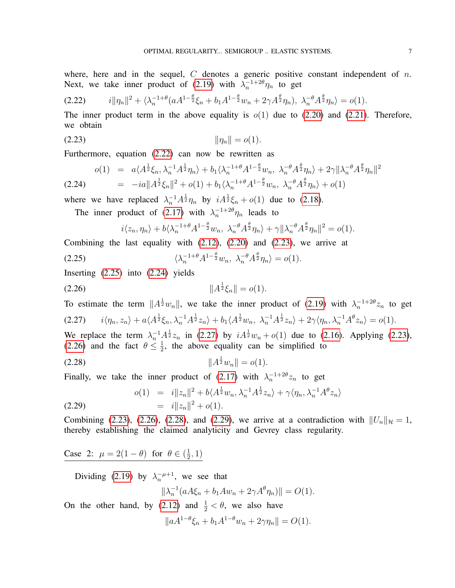where, here and in the sequel,  $C$  denotes a generic positive constant independent of  $n$ . Next, we take inner product of [\(2.19\)](#page-5-3) with  $\lambda_n^{-1+2\theta}\eta_n$  to get

<span id="page-6-0"></span>
$$
(2.22) \t\t\t i||\eta_n||^2 + \langle \lambda_n^{-1+\theta} (aA^{1-\frac{\theta}{2}}\xi_n + b_1 A^{1-\frac{\theta}{2}} w_n + 2\gamma A^{\frac{\theta}{2}} \eta_n), \lambda_n^{-\theta} A^{\frac{\theta}{2}} \eta_n \rangle = o(1).
$$

The inner product term in the above equality is  $o(1)$  due to [\(2.20\)](#page-5-4) and [\(2.21\)](#page-5-5). Therefore, we obtain

(2.23) kηnk = o(1).

Furthermore, equation [\(2.22\)](#page-6-0) can now be rewritten as

<span id="page-6-3"></span>
$$
o(1) = a\langle A^{\frac{1}{2}}\xi_n, \lambda_n^{-1}A^{\frac{1}{2}}\eta_n \rangle + b_1 \langle \lambda_n^{-1+\theta} A^{1-\frac{\theta}{2}} w_n, \lambda_n^{-\theta} A^{\frac{\theta}{2}}\eta_n \rangle + 2\gamma \|\lambda_n^{-\theta} A^{\frac{\theta}{2}}\eta_n\|^2
$$
  
(2.24) 
$$
= -ia\|A^{\frac{1}{2}}\xi_n\|^2 + o(1) + b_1 \langle \lambda_n^{-1+\theta} A^{1-\frac{\theta}{2}} w_n, \lambda_n^{-\theta} A^{\frac{\theta}{2}}\eta_n \rangle + o(1)
$$

where we have replaced  $\lambda_n^{-1} A^{\frac{1}{2}} \eta_n$  by  $i A^{\frac{1}{2}} \xi_n + o(1)$  due to [\(2.18\)](#page-5-3).

The inner product of [\(2.17\)](#page-5-0) with  $\lambda_n^{-1+2\theta}\eta_n$  leads to

<span id="page-6-5"></span><span id="page-6-2"></span><span id="page-6-1"></span>
$$
i\langle z_n,\eta_n\rangle + b\langle \lambda_n^{-1+\theta} A^{1-\frac{\theta}{2}} w_n, \ \lambda_n^{-\theta} A^{\frac{\theta}{2}} \eta_n\rangle + \gamma \|\lambda_n^{-\theta} A^{\frac{\theta}{2}} \eta_n\|^2 = o(1).
$$

Combining the last equality with [\(2.12\)](#page-5-1), [\(2.20\)](#page-5-4) and [\(2.23\)](#page-6-1), we arrive at

(2.25) 
$$
\langle \lambda_n^{-1+\theta} A^{1-\frac{\theta}{2}} w_n, \lambda_n^{-\theta} A^{\frac{\theta}{2}} \eta_n \rangle = o(1).
$$

Inserting [\(2.25\)](#page-6-2) into [\(2.24\)](#page-6-3) yields

$$
(2.26) \t\t\t\t ||A^{\frac{1}{2}}\xi_n|| = o(1).
$$

<span id="page-6-4"></span>To estimate the term  $||A^{\frac{1}{2}}w_n||$ , we take the inner product of [\(2.19\)](#page-5-3) with  $\lambda_n^{-1+2\theta}z_n$  to get  $(2.27)$   $i\langle \eta_n, z_n \rangle + a\langle A^{\frac{1}{2}}\xi_n, \lambda_n^{-1}A^{\frac{1}{2}}z_n \rangle + b_1 \langle A^{\frac{1}{2}}w_n, \lambda_n^{-1}A^{\frac{1}{2}}z_n \rangle + 2\gamma \langle \eta_n, \lambda_n^{-1}A^{\theta}z_n \rangle = o(1).$ 

We replace the term  $\lambda_n^{-1} A^{\frac{1}{2}} z_n$  in [\(2.27\)](#page-6-4) by  $i A^{\frac{1}{2}} w_n + o(1)$  due to [\(2.16\)](#page-5-0). Applying [\(2.23\)](#page-6-1), [\(2.26\)](#page-6-5) and the fact  $\theta \leq \frac{1}{2}$  $\frac{1}{2}$ , the above equality can be simplified to

(2.28) kA 1 <sup>2</sup>wnk = o(1).

Finally, we take the inner product of [\(2.17\)](#page-5-0) with  $\lambda_n^{-1+2\theta} z_n$  to get

<span id="page-6-7"></span>(2.29) 
$$
o(1) = i \|z_n\|^2 + b \langle A^{\frac{1}{2}} w_n, \lambda_n^{-1} A^{\frac{1}{2}} z_n \rangle + \gamma \langle \eta_n, \lambda_n^{-1} A^{\theta} z_n \rangle
$$

$$
= i \|z_n\|^2 + o(1).
$$

Combining [\(2.23\)](#page-6-1), [\(2.26\)](#page-6-5), [\(2.28\)](#page-6-6), and [\(2.29\)](#page-6-7), we arrive at a contradiction with  $||U_n||_{\mathcal{H}} = 1$ , thereby establishing the claimed analyticity and Gevrey class regularity.

Case 2:  $\mu = 2(1 - \theta)$  for  $\theta \in (\frac{1}{2})$  $(\frac{1}{2}, 1)$ 

Dividing [\(2.19\)](#page-5-3) by  $\lambda_n^{-\mu+1}$ , we see that

<span id="page-6-6"></span>
$$
\|\lambda_n^{-1}(aA\xi_n + b_1Aw_n + 2\gamma A^{\theta}\eta_n)\| = O(1).
$$

On the other hand, by [\(2.12\)](#page-5-1) and  $\frac{1}{2} < \theta$ , we also have

 $||aA^{1-\theta}\xi_n + b_1A^{1-\theta}w_n + 2\gamma\eta_n|| = O(1).$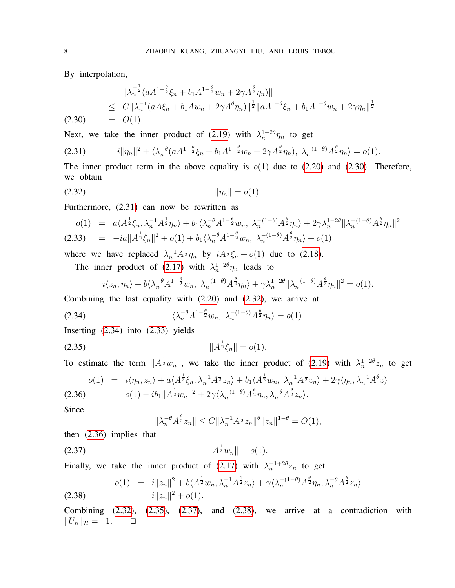By interpolation,

<span id="page-7-0"></span>
$$
\|\lambda_n^{-\frac{1}{2}}(aA^{1-\frac{\theta}{2}}\xi_n + b_1A^{1-\frac{\theta}{2}}w_n + 2\gamma A^{\frac{\theta}{2}}\eta_n)\|
$$
  
\n
$$
\leq C\|\lambda_n^{-1}(aA\xi_n + b_1Aw_n + 2\gamma A^{\theta}\eta_n)\|^{\frac{1}{2}}\|aA^{1-\theta}\xi_n + b_1A^{1-\theta}w_n + 2\gamma\eta_n\|^{\frac{1}{2}}
$$
  
\n(2.30) = O(1).

Next, we take the inner product of [\(2.19\)](#page-5-3) with  $\lambda_n^{1-2\theta}\eta_n$  to get

<span id="page-7-1"></span>
$$
(2.31) \t\t\t i||\eta_n||^2 + \langle \lambda_n^{-\theta} (a A^{1-\frac{\theta}{2}} \xi_n + b_1 A^{1-\frac{\theta}{2}} w_n + 2 \gamma A^{\frac{\theta}{2}} \eta_n), \lambda_n^{-(1-\theta)} A^{\frac{\theta}{2}} \eta_n \rangle = o(1).
$$

The inner product term in the above equality is  $o(1)$  due to [\(2.20\)](#page-5-4) and [\(2.30\)](#page-7-0). Therefore, we obtain

(2.32) kηnk = o(1).

Furthermore, [\(2.31\)](#page-7-1) can now be rewritten as

<span id="page-7-4"></span>
$$
o(1) = a\langle A^{\frac{1}{2}}\xi_n, \lambda_n^{-1}A^{\frac{1}{2}}\eta_n \rangle + b_1 \langle \lambda_n^{-\theta} A^{1-\frac{\theta}{2}} w_n, \lambda_n^{-(1-\theta)} A^{\frac{\theta}{2}}\eta_n \rangle + 2\gamma \lambda_n^{1-2\theta} \|\lambda_n^{-(1-\theta)} A^{\frac{\theta}{2}}\eta_n\|^2
$$
  
(2.33) =  $-ia\|A^{\frac{1}{2}}\xi_n\|^2 + o(1) + b_1 \langle \lambda_n^{-\theta} A^{1-\frac{\theta}{2}} w_n, \lambda_n^{-(1-\theta)} A^{\frac{\theta}{2}}\eta_n \rangle + o(1)$ 

where we have replaced  $\lambda_n^{-1} A^{\frac{1}{2}} \eta_n$  by  $i A^{\frac{1}{2}} \xi_n + o(1)$  due to [\(2.18\)](#page-5-3).

The inner product of [\(2.17\)](#page-5-0) with  $\lambda_n^{1-2\theta}\eta_n$  leads to

<span id="page-7-3"></span><span id="page-7-2"></span>
$$
i\langle z_n,\eta_n\rangle + b\langle \lambda_n^{-\theta} A^{1-\frac{\theta}{2}} w_n, \ \lambda_n^{-(1-\theta)} A^{\frac{\theta}{2}} \eta_n \rangle + \gamma \lambda_n^{1-2\theta} \|\lambda_n^{-(1-\theta)} A^{\frac{\theta}{2}} \eta_n\|^2 = o(1).
$$

Combining the last equality with [\(2.20\)](#page-5-4) and [\(2.32\)](#page-7-2), we arrive at

(2.34) 
$$
\langle \lambda_n^{-\theta} A^{1-\frac{\theta}{2}} w_n, \lambda_n^{-(1-\theta)} A^{\frac{\theta}{2}} \eta_n \rangle = o(1).
$$

Inserting [\(2.34\)](#page-7-3) into [\(2.33\)](#page-7-4) yields

$$
(2.35) \t\t\t ||A^{\frac{1}{2}}\xi_n|| = o(1).
$$

To estimate the term  $||A^{\frac{1}{2}}w_n||$ , we take the inner product of [\(2.19\)](#page-5-3) with  $\lambda_n^{1-2\theta}z_n$  to get

<span id="page-7-5"></span>
$$
o(1) = i\langle \eta_n, z_n \rangle + a\langle A^{\frac{1}{2}}\xi_n, \lambda_n^{-1}A^{\frac{1}{2}}z_n \rangle + b_1\langle A^{\frac{1}{2}}w_n, \lambda_n^{-1}A^{\frac{1}{2}}z_n \rangle + 2\gamma\langle \eta_n, \lambda_n^{-1}A^{\theta}z \rangle
$$
  
(2.36) =  $o(1) - ib_1 ||A^{\frac{1}{2}}w_n||^2 + 2\gamma\langle \lambda_n^{-(1-\theta)}A^{\frac{\theta}{2}}\eta_n, \lambda_n^{-\theta}A^{\frac{\theta}{2}}z_n \rangle$ .

Since

<span id="page-7-7"></span><span id="page-7-6"></span>
$$
\|\lambda_n^{-\theta} A^{\frac{\theta}{2}} z_n\| \le C \|\lambda_n^{-1} A^{\frac{1}{2}} z_n\|^{\theta} \|z_n\|^{1-\theta} = O(1),
$$

then [\(2.36\)](#page-7-5) implies that

$$
(2.37) \t\t\t\t ||A^{\frac{1}{2}}w_n|| = o(1).
$$

Finally, we take the inner product of [\(2.17\)](#page-5-0) with  $\lambda_n^{-1+2\theta} z_n$  to get

<span id="page-7-8"></span>(2.38) 
$$
o(1) = i \|z_n\|^2 + b \langle A^{\frac{1}{2}} w_n, \lambda_n^{-1} A^{\frac{1}{2}} z_n \rangle + \gamma \langle \lambda_n^{-(1-\theta)} A^{\frac{\theta}{2}} \eta_n, \lambda_n^{-\theta} A^{\frac{\theta}{2}} z_n \rangle
$$
  
=  $i \|z_n\|^2 + o(1).$ 

Combining  $(2.32)$ ,  $(2.35)$ ,  $(2.37)$ , and  $(2.38)$ , we arrive at a contradiction with  $||U_n||_{\mathcal{H}} = 1.$   $\Box$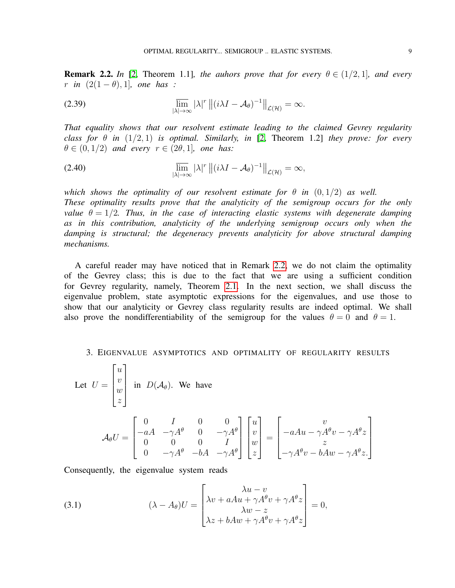<span id="page-8-1"></span>**Remark 2.2.** In [\[2,](#page-19-0) Theorem 1.1]*, the auhors prove that for every*  $\theta \in (1/2, 1]$ *, and every r in*  $(2(1 - \theta), 1)$ *, one has* :

(2.39) 
$$
\overline{\lim}_{|\lambda| \to \infty} |\lambda|^r ||(i\lambda I - \mathcal{A}_{\theta})^{-1}||_{\mathcal{L}(\mathcal{H})} = \infty.
$$

*That equality shows that our resolvent estimate leading to the claimed Gevrey regularity class for*  $\theta$  *in* (1/2, 1) *is optimal. Similarly, in* [\[2,](#page-19-0) Theorem 1.2] *they prove: for every*  $\theta \in (0, 1/2)$  *and every*  $r \in (2\theta, 1]$ *, one has:* 

(2.40) 
$$
\overline{\lim}_{|\lambda| \to \infty} |\lambda|^r ||(i\lambda I - A_\theta)^{-1}||_{\mathcal{L}(\mathcal{H})} = \infty,
$$

*which shows the optimality of our resolvent estimate for*  $\theta$  *in*  $(0, 1/2)$  *as well. These optimality results prove that the analyticity of the semigroup occurs for the only value*  $\theta = 1/2$ *. Thus, in the case of interacting elastic systems with degenerate damping as in this contribution, analyticity of the underlying semigroup occurs only when the damping is structural; the degeneracy prevents analyticity for above structural damping mechanisms.*

A careful reader may have noticed that in Remark [2.2,](#page-8-1) we do not claim the optimality of the Gevrey class; this is due to the fact that we are using a sufficient condition for Gevrey regularity, namely, Theorem [2.1.](#page-4-3) In the next section, we shall discuss the eigenvalue problem, state asymptotic expressions for the eigenvalues, and use those to show that our analyticity or Gevrey class regularity results are indeed optimal. We shall also prove the nondifferentiability of the semigroup for the values  $\theta = 0$  and  $\theta = 1$ .

## <span id="page-8-0"></span>3. EIGENVALUE ASYMPTOTICS AND OPTIMALITY OF REGULARITY RESULTS

Let 
$$
U = \begin{bmatrix} u \\ v \\ x \end{bmatrix}
$$
 in  $D(A_{\theta})$ . We have  
\n
$$
A_{\theta}U = \begin{bmatrix} 0 & I & 0 & 0 \\ -aA & -\gamma A^{\theta} & 0 & -\gamma A^{\theta} \\ 0 & 0 & 0 & I \\ 0 & -\gamma A^{\theta} & -bA & -\gamma A^{\theta} \end{bmatrix} \begin{bmatrix} u \\ v \\ w \\ z \end{bmatrix} = \begin{bmatrix} v \\ -aAu - \gamma A^{\theta}v - \gamma A^{\theta}z \\ z \\ -\gamma A^{\theta}v - bAw - \gamma A^{\theta}z \end{bmatrix}
$$

Consequently, the eigenvalue system reads

(3.1) 
$$
(\lambda - A_{\theta})U = \begin{bmatrix} \lambda u - v \\ \lambda v + aAu + \gamma A^{\theta} v + \gamma A^{\theta} z \\ \lambda w - z \\ \lambda z + bAw + \gamma A^{\theta} v + \gamma A^{\theta} z \end{bmatrix} = 0,
$$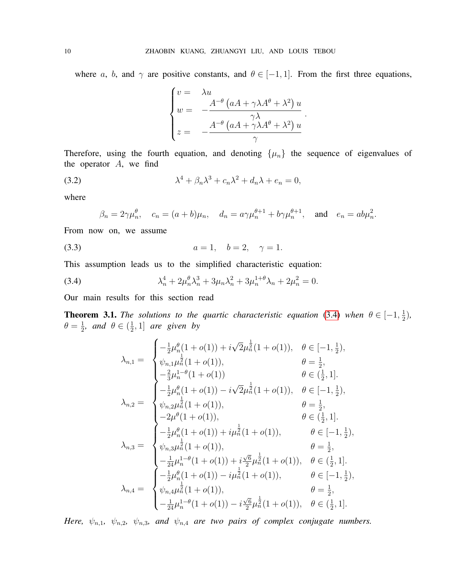where a, b, and  $\gamma$  are positive constants, and  $\theta \in [-1, 1]$ . From the first three equations,

$$
\begin{cases}\nv = & \lambda u \\
w = & -\frac{A^{-\theta} (aA + \gamma \lambda A^{\theta} + \lambda^2) u}{\gamma \lambda} \\
z = & -\frac{A^{-\theta} (aA + \gamma \lambda A^{\theta} + \lambda^2) u}{\gamma}\n\end{cases}
$$

.

.

Therefore, using the fourth equation, and denoting  $\{\mu_n\}$  the sequence of eigenvalues of the operator  $A$ , we find

(3.2) 
$$
\lambda^4 + \beta_n \lambda^3 + c_n \lambda^2 + d_n \lambda + e_n = 0,
$$

where

$$
\beta_n = 2\gamma \mu_n^{\theta}, \quad c_n = (a+b)\mu_n, \quad d_n = a\gamma \mu_n^{\theta+1} + b\gamma \mu_n^{\theta+1}, \quad \text{and} \quad e_n = ab\mu_n^2
$$

From now on, we assume

(3.3)  $a = 1, \quad b = 2, \quad \gamma = 1.$ 

This assumption leads us to the simplified characteristic equation:

(3.4) 
$$
\lambda_n^4 + 2\mu_n^{\theta}\lambda_n^3 + 3\mu_n\lambda_n^2 + 3\mu_n^{1+\theta}\lambda_n + 2\mu_n^2 = 0.
$$

Our main results for this section read

<span id="page-9-1"></span>**Theorem 3.1.** The solutions to the quartic characteristic equation [\(3.4\)](#page-9-0) when  $\theta \in [-1, \frac{1}{2}]$  $\frac{1}{2}$ ),  $\theta = \frac{1}{2}$  $\frac{1}{2}$ *, and*  $\theta \in (\frac{1}{2})$  $\frac{1}{2}$ , 1] are given by

<span id="page-9-0"></span>
$$
\lambda_{n,1} = \begin{cases}\n-\frac{1}{2}\mu_n^{\theta}(1+o(1)) + i\sqrt{2}\mu_n^{\frac{1}{2}}(1+o(1)), & \theta \in [-1, \frac{1}{2}), \\
\psi_{n,1}\mu_n^{\frac{1}{2}}(1+o(1)), & \theta = \frac{1}{2}, \\
-\frac{2}{3}\mu_n^{1-\theta}(1+o(1)) & \theta \in (\frac{1}{2}, 1]. \\
\frac{1}{2}\mu_n^{\theta}(1+o(1)) - i\sqrt{2}\mu_n^{\frac{1}{2}}(1+o(1)), & \theta \in [-1, \frac{1}{2}), \\
\psi_{n,2}\mu_n^{\frac{1}{2}}(1+o(1)), & \theta = \frac{1}{2}, \\
-2\mu^{\theta}(1+o(1)), & \theta \in (\frac{1}{2}, 1]. \\
-\frac{1}{2}\mu_n^{\theta}(1+o(1)), & \theta \in (\frac{1}{2}, 1]. \\
\psi_{n,3}\mu_n^{\frac{1}{2}}(1+o(1)), & \theta = \frac{1}{2}, \\
-\frac{1}{24}\mu_n^{1-\theta}(1+o(1)), & \theta = \frac{1}{2}, \\
-\frac{1}{24}\mu_n^{1-\theta}(1+o(1)) + i\frac{\sqrt{6}}{2}\mu_n^{\frac{1}{2}}(1+o(1)), & \theta \in (\frac{1}{2}, 1]. \\
\psi_{n,4}\mu_n^{\frac{1}{2}}(1+o(1)) - i\mu_n^{\frac{1}{2}}(1+o(1)), & \theta \in [-1, \frac{1}{2}), \\
\psi_{n,4}\mu_n^{\frac{1}{2}}(1+o(1)), & \theta = \frac{1}{2}, \\
-\frac{1}{24}\mu_n^{1-\theta}(1+o(1)) - i\frac{\sqrt{6}}{2}\mu_n^{\frac{1}{2}}(1+o(1)), & \theta \in (\frac{1}{2}, 1].\n\end{cases}
$$

*Here,*  $\psi_{n,1}$ ,  $\psi_{n,2}$ ,  $\psi_{n,3}$ , and  $\psi_{n,4}$  are two pairs of complex conjugate numbers.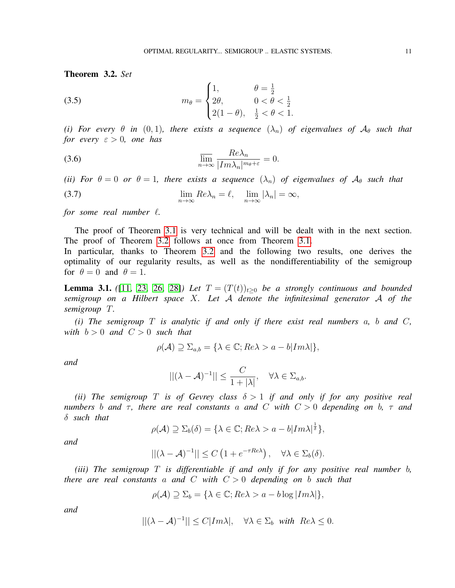<span id="page-10-0"></span>Theorem 3.2. *Set*

(3.5) 
$$
m_{\theta} = \begin{cases} 1, & \theta = \frac{1}{2} \\ 2\theta, & 0 < \theta < \frac{1}{2} \\ 2(1-\theta), & \frac{1}{2} < \theta < 1. \end{cases}
$$

(*i*) For every  $\theta$  *in* (0,1), there exists a sequence  $(\lambda_n)$  of eigenvalues of  $\mathcal{A}_{\theta}$  such that *for every*  $\varepsilon > 0$ *, one has* 

(3.6) 
$$
\overline{\lim}_{n \to \infty} \frac{Re\lambda_n}{|Im\lambda_n|^{m_\theta + \varepsilon}} = 0.
$$

*(ii) For*  $\theta = 0$  *or*  $\theta = 1$ *, there exists a sequence*  $(\lambda_n)$  *of eigenvalues of*  $\mathcal{A}_{\theta}$  *such that* 

(3.7) 
$$
\lim_{n \to \infty} Re\lambda_n = \ell, \quad \lim_{n \to \infty} |\lambda_n| = \infty,
$$

*for some real number*  $\ell$ *.* 

The proof of Theorem [3.1](#page-9-1) is very technical and will be dealt with in the next section. The proof of Theorem [3.2](#page-10-0) follows at once from Theorem [3.1.](#page-9-1)

In particular, thanks to Theorem [3.2](#page-10-0) and the following two results, one derives the optimality of our regularity results, as well as the nondifferentiability of the semigroup for  $\theta = 0$  and  $\theta = 1$ .

<span id="page-10-1"></span>**Lemma 3.1.** ([\[11,](#page-19-14) [23,](#page-20-8) [26,](#page-20-7) [28\]](#page-20-0)) Let  $T = (T(t))_{t>0}$  be a strongly continuous and bounded *semigroup on a Hilbert space* X*. Let* A *denote the infinitesimal generator* A *of the semigroup* T*.*

*(i) The semigroup* T *is analytic if and only if there exist real numbers* a*,* b *and* C*, with*  $b > 0$  *and*  $C > 0$  *such that* 

$$
\rho(\mathcal{A}) \supseteq \Sigma_{a,b} = \{ \lambda \in \mathbb{C}; Re \lambda > a - b | Im \lambda | \},
$$

*and*

$$
||(\lambda - A)^{-1}|| \leq \frac{C}{1 + |\lambda|}, \quad \forall \lambda \in \Sigma_{a,b}.
$$

*(ii) The semigroup* T *is of Gevrey class*  $\delta > 1$  *if and only if for any positive real numbers b and*  $\tau$ *, there are real constants a and C with*  $C > 0$  *depending on b,*  $\tau$  *and* δ *such that*

$$
\rho(\mathcal{A}) \supseteq \Sigma_b(\delta) = \{ \lambda \in \mathbb{C}; Re \lambda > a - b | Im \lambda |^{\frac{1}{\delta}} \},
$$

*and*

$$
||(\lambda - \mathcal{A})^{-1}|| \leq C \left(1 + e^{-\tau Re \lambda}\right), \quad \forall \lambda \in \Sigma_b(\delta).
$$

*(iii) The semigroup* T *is differentiable if and only if for any positive real number* b*, there are real constants* a *and* C *with* C > 0 *depending on* b *such that*

 $\rho(\mathcal{A}) \supset \Sigma_b = \{\lambda \in \mathbb{C}; Re \lambda > a - b \log |Im \lambda| \},\$ 

*and*

$$
||(\lambda - A)^{-1}|| \le C|Im\lambda|, \quad \forall \lambda \in \Sigma_b \text{ with } Re\lambda \le 0.
$$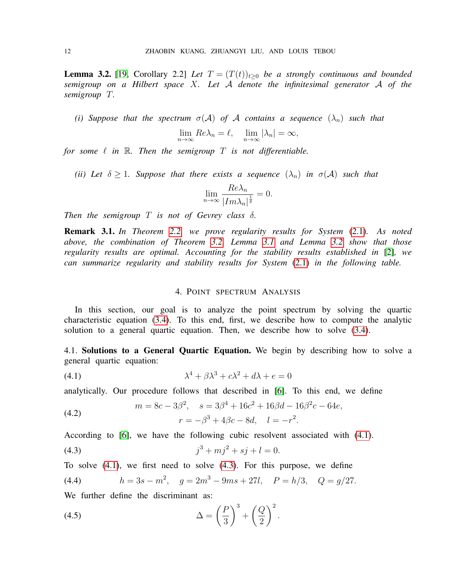<span id="page-11-2"></span>**Lemma 3.2.** [\[19,](#page-20-4) Corollary 2.2] *Let*  $T = (T(t))_{t>0}$  *be a strongly continuous and bounded semigroup on a Hilbert space* X*. Let* A *denote the infinitesimal generator* A *of the semigroup* T*.*

*(i)* Suppose that the spectrum  $\sigma(A)$  of A contains a sequence  $(\lambda_n)$  such that

$$
\lim_{n \to \infty} Re \lambda_n = \ell, \quad \lim_{n \to \infty} |\lambda_n| = \infty,
$$

*for some*  $\ell$  *in*  $\mathbb{R}$ *. Then the semigroup*  $T$  *is not differentiable.* 

*(ii)* Let  $\delta \geq 1$ . Suppose that there exists a sequence  $(\lambda_n)$  in  $\sigma(\mathcal{A})$  such that

$$
\lim_{n \to \infty} \frac{Re\lambda_n}{|Im\lambda_n|^{\frac{1}{\delta}}} = 0.
$$

*Then the semigroup*  $T$  *is not of Gevrey class*  $\delta$ *.* 

Remark 3.1. *In Theorem [2.2,](#page-4-4) we prove regularity results for System* [\(2.1\)](#page-2-1)*. As noted above, the combination of Theorem [3.2,](#page-10-0) Lemma [3.1](#page-10-1) and Lemma [3.2](#page-11-2) show that those regularity results are optimal. Accounting for the stability results established in* [\[2\]](#page-19-0)*, we can summarize regularity and stability results for System* [\(2.1\)](#page-2-1) *in the following table.*

#### <span id="page-11-3"></span>4. POINT SPECTRUM ANALYSIS

<span id="page-11-0"></span>In this section, our goal is to analyze the point spectrum by solving the quartic characteristic equation [\(3.4\)](#page-9-0). To this end, first, we describe how to compute the analytic solution to a general quartic equation. Then, we describe how to solve [\(3.4\)](#page-9-0).

<span id="page-11-1"></span>4.1. Solutions to a General Quartic Equation. We begin by describing how to solve a general quartic equation:

(4.1) 
$$
\lambda^4 + \beta \lambda^3 + c \lambda^2 + d\lambda + e = 0
$$

analytically. Our procedure follows that described in [\[6\]](#page-19-15). To this end, we define

<span id="page-11-5"></span>(4.2) 
$$
m = 8c - 3\beta^2, \quad s = 3\beta^4 + 16c^2 + 16\beta d - 16\beta^2 c - 64e,
$$

$$
r = -\beta^3 + 4\beta c - 8d, \quad l = -r^2.
$$

According to [\[6\]](#page-19-15), we have the following cubic resolvent associated with [\(4.1\)](#page-11-3).

<span id="page-11-4"></span>(4.3) 
$$
j^3 + mj^2 + sj + l = 0.
$$

To solve [\(4.1\)](#page-11-3), we first need to solve [\(4.3\)](#page-11-4). For this purpose, we define

<span id="page-11-6"></span>(4.4) 
$$
h = 3s - m^2, \quad g = 2m^3 - 9ms + 27l, \quad P = h/3, \quad Q = g/27.
$$

We further define the discriminant as:

<span id="page-11-7"></span>(4.5) 
$$
\Delta = \left(\frac{P}{3}\right)^3 + \left(\frac{Q}{2}\right)^2.
$$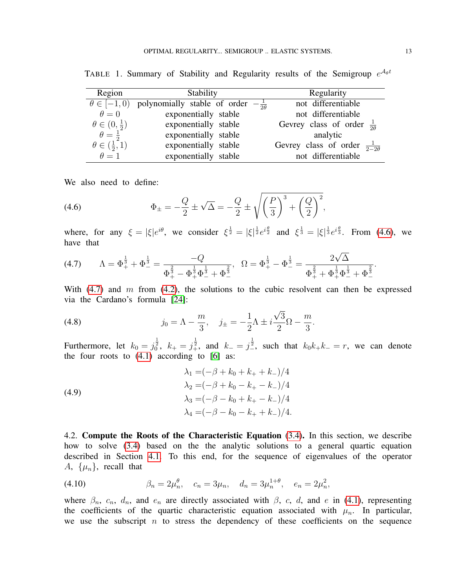| Region                        | Stability                                         | Regularity                                  |  |
|-------------------------------|---------------------------------------------------|---------------------------------------------|--|
| $\theta \in [-1,0)$           | polynomially stable of order $-\frac{1}{2\theta}$ | not differentiable                          |  |
| $\theta = 0$                  | exponentially stable                              | not differentiable                          |  |
| $\theta \in (0, \frac{1}{2})$ | exponentially stable                              | Gevrey class of order $\frac{1}{20}$        |  |
| $\theta = \frac{1}{2}$        | exponentially stable                              | analytic                                    |  |
| $\theta \in (\frac{1}{2}, 1)$ | exponentially stable                              | Gevrey class of order $\frac{1}{2-2\theta}$ |  |
| $\theta = 1$                  | exponentially stable                              | not differentiable                          |  |

TABLE 1. Summary of Stability and Regularity results of the Semigroup  $e^{\mathcal{A}_{\theta}t}$ 

We also need to define:

<span id="page-12-1"></span>(4.6) 
$$
\Phi_{\pm} = -\frac{Q}{2} \pm \sqrt{\Delta} = -\frac{Q}{2} \pm \sqrt{\left(\frac{P}{3}\right)^3 + \left(\frac{Q}{2}\right)^2},
$$

where, for any  $\xi = |\xi|e^{i\theta}$ , we consider  $\xi^{\frac{1}{2}} = |\xi|^{\frac{1}{2}}e^{i\frac{\theta}{2}}$  and  $\xi^{\frac{1}{3}} = |\xi|^{\frac{1}{3}}e^{i\frac{\theta}{3}}$ . From [\(4.6\)](#page-12-1), we have that

<span id="page-12-2"></span>(4.7) 
$$
\Lambda = \Phi_{+}^{\frac{1}{3}} + \Phi_{-}^{\frac{1}{3}} = \frac{-Q}{\Phi_{+}^{\frac{2}{3}} - \Phi_{+}^{\frac{1}{3}}\Phi_{-}^{\frac{1}{3}} + \Phi_{-}^{\frac{2}{3}}}, \quad \Omega = \Phi_{+}^{\frac{1}{3}} - \Phi_{-}^{\frac{1}{3}} = \frac{2\sqrt{\Delta}}{\Phi_{+}^{\frac{2}{3}} + \Phi_{+}^{\frac{1}{3}}\Phi_{-}^{\frac{1}{3}} + \Phi_{-}^{\frac{2}{3}}}.
$$

With  $(4.7)$  and m from  $(4.2)$ , the solutions to the cubic resolvent can then be expressed via the Cardano's formula [\[24\]](#page-20-9):

<span id="page-12-3"></span>(4.8) 
$$
j_0 = \Lambda - \frac{m}{3}, \quad j_{\pm} = -\frac{1}{2}\Lambda \pm i\frac{\sqrt{3}}{2}\Omega - \frac{m}{3}.
$$

Furthermore, let  $k_0 = j_0^{\frac{1}{2}}$ ,  $k_+ = j_+^{\frac{1}{2}}$ , and  $k_- = j_-^{\frac{1}{2}}$ , such that  $k_0 k_+ k_- = r$ , we can denote the four roots to  $(4.1)$  according to  $[6]$  as:

<span id="page-12-4"></span>(4.9)  
\n
$$
\lambda_1 = (-\beta + k_0 + k_+ + k_-)/4
$$
\n
$$
\lambda_2 = (-\beta + k_0 - k_+ - k_-)/4
$$
\n
$$
\lambda_3 = (-\beta - k_0 + k_+ - k_-)/4
$$
\n
$$
\lambda_4 = (-\beta - k_0 - k_+ + k_-)/4.
$$

<span id="page-12-0"></span>4.2. Compute the Roots of the Characteristic Equation [\(3.4\)](#page-9-0). In this section, we describe how to solve [\(3.4\)](#page-9-0) based on the the analytic solutions to a general quartic equation described in Section [4.1.](#page-11-1) To this end, for the sequence of eigenvalues of the operator A,  $\{\mu_n\}$ , recall that

(4.10) 
$$
\beta_n = 2\mu_n^{\theta}, \quad c_n = 3\mu_n, \quad d_n = 3\mu_n^{1+\theta}, \quad e_n = 2\mu_n^2,
$$

where  $\beta_n$ ,  $c_n$ ,  $d_n$ , and  $e_n$  are directly associated with  $\beta$ ,  $c$ ,  $d$ , and  $e$  in [\(4.1\)](#page-11-3), representing the coefficients of the quartic characteristic equation associated with  $\mu_n$ . In particular, we use the subscript  $n$  to stress the dependency of these coefficients on the sequence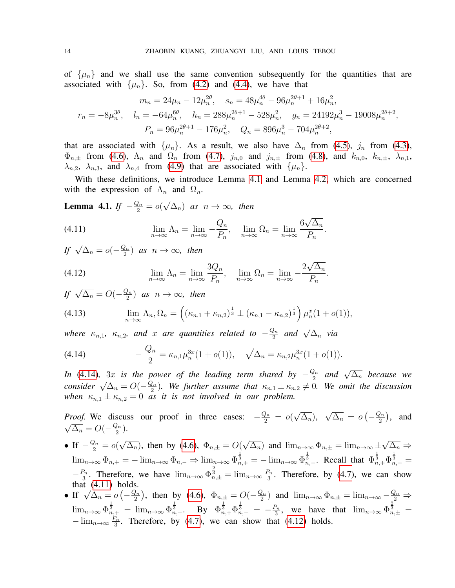of  $\{\mu_n\}$  and we shall use the same convention subsequently for the quantities that are associated with  $\{\mu_n\}$ . So, from [\(4.2\)](#page-11-5) and [\(4.4\)](#page-11-6), we have that

$$
m_n = 24\mu_n - 12\mu_n^{2\theta}, \quad s_n = 48\mu_n^{4\theta} - 96\mu_n^{2\theta+1} + 16\mu_n^2,
$$
  

$$
r_n = -8\mu_n^{3\theta}, \quad l_n = -64\mu_n^{6\theta}, \quad h_n = 288\mu_n^{2\theta+1} - 528\mu_n^2, \quad g_n = 24192\mu_n^3 - 19008\mu_n^{2\theta+2},
$$
  

$$
P_n = 96\mu_n^{2\theta+1} - 176\mu_n^2, \quad Q_n = 896\mu_n^3 - 704\mu_n^{2\theta+2},
$$

that are associated with  $\{\mu_n\}$ . As a result, we also have  $\Delta_n$  from [\(4.5\)](#page-11-7),  $j_n$  from [\(4.3\)](#page-11-4),  $\Phi_{n,\pm}$  from [\(4.6\)](#page-12-1),  $\Lambda_n$  and  $\Omega_n$  from [\(4.7\)](#page-12-2),  $j_{n,0}$  and  $j_{n,\pm}$  from [\(4.8\)](#page-12-3), and  $k_{n,0}$ ,  $k_{n,\pm}$ ,  $\lambda_{n,1}$ ,  $\lambda_{n,2}$ ,  $\lambda_{n,3}$ , and  $\lambda_{n,4}$  from [\(4.9\)](#page-12-4) that are associated with  $\{\mu_n\}$ .

With these definitions, we introduce Lemma [4.1](#page-13-0) and Lemma [4.2,](#page-14-0) which are concerned with the expression of  $\Lambda_n$  and  $\Omega_n$ .

<span id="page-13-0"></span>**Lemma 4.1.** *If*  $-\frac{Q_n}{2} = o($ √  $(\overline{\Delta_n})$  *as*  $n \to \infty$ *, then* 

<span id="page-13-2"></span>(4.11) 
$$
\lim_{n \to \infty} \Lambda_n = \lim_{n \to \infty} -\frac{Q_n}{P_n}, \quad \lim_{n \to \infty} \Omega_n = \lim_{n \to \infty} \frac{6\sqrt{\Delta_n}}{P_n}.
$$

*If*  $\sqrt{\Delta_n} = o(-\frac{Q_n}{2})$  $\frac{2n}{2}$  *as*  $n \to \infty$ *, then* 

<span id="page-13-3"></span>(4.12) 
$$
\lim_{n \to \infty} \Lambda_n = \lim_{n \to \infty} \frac{3Q_n}{P_n}, \quad \lim_{n \to \infty} \Omega_n = \lim_{n \to \infty} -\frac{2\sqrt{\Delta_n}}{P_n}.
$$

*If*  $\sqrt{\Delta_n} = O(-\frac{Q_n}{2})$  $\frac{2n}{2}$  *as*  $n \to \infty$ *, then* 

<span id="page-13-4"></span>(4.13) 
$$
\lim_{n \to \infty} \Lambda_n, \Omega_n = \left( (\kappa_{n,1} + \kappa_{n,2})^{\frac{1}{3}} \pm (\kappa_{n,1} - \kappa_{n,2})^{\frac{1}{3}} \right) \mu_n^x (1 + o(1)),
$$

*where*  $\kappa_{n,1}$ ,  $\kappa_{n,2}$ , and x are quantities related to  $-\frac{Q_n}{2}$  $\frac{2n}{2}$  and  $\sqrt{\Delta_n}$  via

<span id="page-13-1"></span>(4.14) 
$$
-\frac{Q_n}{2} = \kappa_{n,1} \mu_n^{3x} (1 + o(1)), \quad \sqrt{\Delta_n} = \kappa_{n,2} \mu_n^{3x} (1 + o(1)).
$$

*In* [\(4.14\)](#page-13-1), 3x *is the power of the leading term shared by*  $-\frac{Q_n}{2}$  $\frac{2n}{2}$  and  $\sqrt{\Delta_n}$  because we *consider*  $\sqrt{\Delta_n} = O(-\frac{Q_n}{2})$  $\frac{2n}{2}$ ). We further assume that  $\kappa_{n,1} \pm \kappa_{n,2} \neq 0$ . We omit the discussion *when*  $\kappa_{n,1} \pm \kappa_{n,2} = 0$  *as it is not involved in our problem.* 

*Proof.* We discuss our proof in three cases:  $-\frac{Q_n}{2} = o($ √  $\Delta_n),$ √  $\overline{\Delta_n} = o\left(-\frac{Q_n}{2}\right)$ *Proof.* We discuss our proof in three cases:  $-\frac{Q_n}{2} = o(\sqrt{\Delta_n}), \sqrt{\Delta_n} = o(-\frac{Q_n}{2}),$  and  $\overline{\Delta_n} = O(-\frac{Q_n}{2})$  $\frac{\ell n}{2}$ ).

- If  $-\frac{Q_n}{2} = o($ √  $\overline{\Delta_n}$ ), then by [\(4.6\)](#page-12-1),  $\Phi_{n,\pm} = O(n)$ √  $(\overline{\Delta_n})$  and  $\lim_{n\to\infty} \Phi_{n,\pm} = \lim_{n\to\infty} \pm \frac{1}{n}$ √  $\overline{\Delta_n} \Rightarrow$  $\lim_{n\to\infty} \Phi_{n,+} = -\lim_{n\to\infty} \Phi_{n,-} \Rightarrow \lim_{n\to\infty} \Phi_{n,+}^{\frac{1}{3}} = -\lim_{n\to\infty} \Phi_{n,-}^{\frac{1}{3}}$ . Recall that  $\Phi_{n,+}^{\frac{1}{3}} \Phi_{n,-}^{\frac{1}{3}} =$  $-\frac{P_n}{3}$  $\frac{D_n}{3}$ . Therefore, we have  $\lim_{n\to\infty} \Phi_{n,\pm}^{\frac{2}{3}} = \lim_{n\to\infty} \frac{P_n}{3}$  $\frac{\gamma_n}{3}$ . Therefore, by [\(4.7\)](#page-12-2), we can show that [\(4.11\)](#page-13-2) holds.
- **■** If  $\sqrt{\Delta_n} = o\left(-\frac{Q_n}{2}\right)$  $(\frac{2n}{2})$ , then by [\(4.6\)](#page-12-1),  $\Phi_{n,\pm} = O(-\frac{Q_n}{2})$  $\frac{Q_n}{2}$  and  $\lim_{n\to\infty} \Phi_{n,\pm} = \lim_{n\to\infty} -\frac{Q_n}{2} \Rightarrow$  $\lim_{n\to\infty} \Phi_{n,+}^{\frac{1}{3}} = \lim_{n\to\infty} \Phi_{n,-}^{\frac{1}{3}}$ . By  $\Phi_{n,+}^{\frac{1}{3}} \Phi_{n,-}^{\frac{1}{3}} = -\frac{P_n}{3}$  $\frac{a_n}{3}$ , we have that  $\lim_{n\to\infty} \Phi_{n,\pm}^{\frac{2}{3}} =$  $-\lim_{n\to\infty}\frac{P_n}{3}$  $\frac{2n}{3}$ . Therefore, by [\(4.7\)](#page-12-2), we can show that [\(4.12\)](#page-13-3) holds.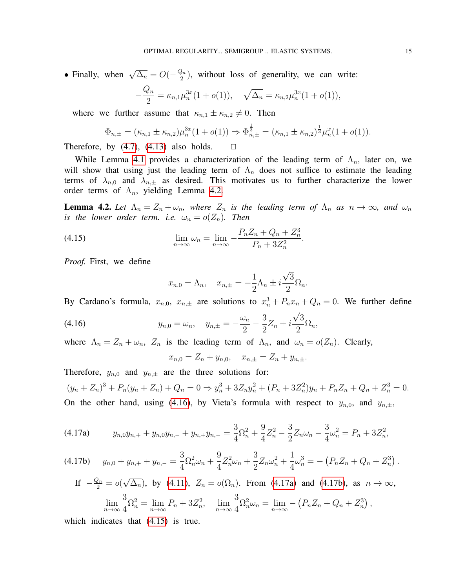• Finally, when  $\sqrt{\Delta_n} = O(-\frac{Q_n}{2})$  $\frac{2n}{2}$ ), without loss of generality, we can write:

$$
-\frac{Q_n}{2} = \kappa_{n,1} \mu_n^{3x} (1 + o(1)), \quad \sqrt{\Delta_n} = \kappa_{n,2} \mu_n^{3x} (1 + o(1)),
$$

where we further assume that  $\kappa_{n,1} \pm \kappa_{n,2} \neq 0$ . Then

$$
\Phi_{n,\pm} = (\kappa_{n,1} \pm \kappa_{n,2}) \mu_n^{3x} (1 + o(1)) \Rightarrow \Phi_{n,\pm}^{\frac{1}{3}} = (\kappa_{n,1} \pm \kappa_{n,2})^{\frac{1}{3}} \mu_n^{x} (1 + o(1)).
$$

Therefore, by  $(4.7)$ ,  $(4.13)$  also holds.  $\Box$ 

While Lemma [4.1](#page-13-0) provides a characterization of the leading term of  $\Lambda_n$ , later on, we will show that using just the leading term of  $\Lambda_n$  does not suffice to estimate the leading terms of  $\lambda_{n,0}$  and  $\lambda_{n,\pm}$  as desired. This motivates us to further characterize the lower order terms of  $\Lambda_n$ , yielding Lemma [4.2.](#page-14-0)

<span id="page-14-0"></span>**Lemma 4.2.** Let  $\Lambda_n = Z_n + \omega_n$ , where  $Z_n$  is the leading term of  $\Lambda_n$  as  $n \to \infty$ , and  $\omega_n$ *is the lower order term. i.e.*  $\omega_n = o(Z_n)$ *. Then* 

.

(4.15) 
$$
\lim_{n \to \infty} \omega_n = \lim_{n \to \infty} -\frac{P_n Z_n + Q_n + Z_n^3}{P_n + 3Z_n^2}
$$

*Proof.* First, we define

<span id="page-14-4"></span>
$$
x_{n,0} = \Lambda_n, \quad x_{n,\pm} = -\frac{1}{2}\Lambda_n \pm i\frac{\sqrt{3}}{2}\Omega_n.
$$

By Cardano's formula,  $x_{n,0}$ ,  $x_{n,\pm}$  are solutions to  $x_n^3 + P_n x_n + Q_n = 0$ . We further define

(4.16) 
$$
y_{n,0} = \omega_n, \quad y_{n,\pm} = -\frac{\omega_n}{2} - \frac{3}{2}Z_n \pm i\frac{\sqrt{3}}{2}\Omega_n,
$$

where  $\Lambda_n = Z_n + \omega_n$ ,  $Z_n$  is the leading term of  $\Lambda_n$ , and  $\omega_n = o(Z_n)$ . Clearly,

<span id="page-14-1"></span>
$$
x_{n,0} = Z_n + y_{n,0}, \quad x_{n,\pm} = Z_n + y_{n,\pm}.
$$

Therefore,  $y_{n,0}$  and  $y_{n,\pm}$  are the three solutions for:

 $(y_n + Z_n)^3 + P_n(y_n + Z_n) + Q_n = 0 \Rightarrow y_n^3 + 3Z_ny_n^2 + (P_n + 3Z_n^2)y_n + P_nZ_n + Q_n + Z_n^3 = 0.$ On the other hand, using [\(4.16\)](#page-14-1), by Vieta's formula with respect to  $y_{n,0}$ , and  $y_{n,\pm}$ ,

<span id="page-14-2"></span>
$$
(4.17a) \t y_{n,0}y_{n,+} + y_{n,0}y_{n,-} + y_{n,+}y_{n,-} = \frac{3}{4}\Omega_n^2 + \frac{9}{4}Z_n^2 - \frac{3}{2}Z_n\omega_n - \frac{3}{4}\omega_n^2 = P_n + 3Z_n^2,
$$

$$
(4.17b) \t y_{n,0} + y_{n,+} + y_{n,-} = \frac{3}{4} \Omega_n^2 \omega_n + \frac{9}{4} Z_n^2 \omega_n + \frac{3}{2} Z_n \omega_n^2 + \frac{1}{4} \omega_n^3 = - (P_n Z_n + Q_n + Z_n^3).
$$

<span id="page-14-3"></span>If 
$$
-\frac{Q_n}{2} = o(\sqrt{\Delta_n})
$$
, by (4.11),  $Z_n = o(\Omega_n)$ . From (4.17a) and (4.17b), as  $n \to \infty$ ,  
\n
$$
\lim_{n \to \infty} \frac{3}{4} \Omega_n^2 = \lim_{n \to \infty} P_n + 3Z_n^2, \quad \lim_{n \to \infty} \frac{3}{4} \Omega_n^2 \omega_n = \lim_{n \to \infty} - (P_n Z_n + Q_n + Z_n^3),
$$

which indicates that  $(4.15)$  is true.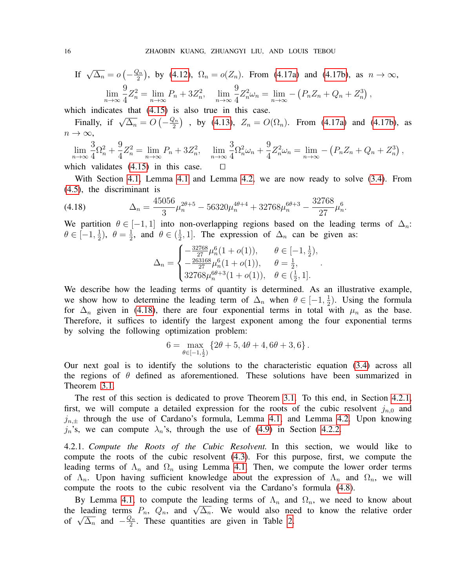If 
$$
\sqrt{\Delta_n} = o(-\frac{Q_n}{2})
$$
, by (4.12),  $\Omega_n = o(Z_n)$ . From (4.17a) and (4.17b), as  $n \to \infty$ ,  
\n
$$
\lim_{n \to \infty} \frac{9}{4} Z_n^2 = \lim_{n \to \infty} P_n + 3Z_n^2, \quad \lim_{n \to \infty} \frac{9}{4} Z_n^2 \omega_n = \lim_{n \to \infty} - (P_n Z_n + Q_n + Z_n^3),
$$

which indicates that  $(4.15)$  is also true in this case.

Finally, if  $\sqrt{\Delta_n} = O\left(-\frac{Q_n}{2}\right)$  $\left(\frac{2n}{2}\right)$  , by [\(4.13\)](#page-13-4),  $Z_n = O(\Omega_n)$ . From [\(4.17a\)](#page-14-2) and [\(4.17b\)](#page-14-3), as  $n \to \infty$ ,

$$
\lim_{n \to \infty} \frac{3}{4} \Omega_n^2 + \frac{9}{4} Z_n^2 = \lim_{n \to \infty} P_n + 3Z_n^2, \quad \lim_{n \to \infty} \frac{3}{4} \Omega_n^2 \omega_n + \frac{9}{4} Z_n^2 \omega_n = \lim_{n \to \infty} -\left( P_n Z_n + Q_n + Z_n^3 \right),
$$

which validates  $(4.15)$  in this case.  $\Box$ 

With Section [4.1,](#page-11-1) Lemma [4.1](#page-13-0) and Lemma [4.2,](#page-14-0) we are now ready to solve [\(3.4\)](#page-9-0). From [\(4.5\)](#page-11-7), the discriminant is

$$
(4.18) \qquad \Delta_n = \frac{45056}{3} \mu_n^{2\theta+5} - 56320 \mu_n^{4\theta+4} + 32768 \mu_n^{6\theta+3} - \frac{32768}{27} \mu_n^6.
$$

We partition  $\theta \in [-1, 1]$  into non-overlapping regions based on the leading terms of  $\Delta_n$ :  $\theta \in [-1, \frac{1}{2}]$  $(\frac{1}{2}), \theta = \frac{1}{2}$  $\frac{1}{2}$ , and  $\theta \in (\frac{1}{2})$  $\frac{1}{2}$ , 1]. The expression of  $\Delta_n$  can be given as:

<span id="page-15-0"></span>
$$
\Delta_n = \begin{cases}\n-\frac{32768}{27} \mu_n^6 (1 + o(1)), & \theta \in [-1, \frac{1}{2}), \\
-\frac{263168}{27} \mu_n^6 (1 + o(1)), & \theta = \frac{1}{2}, \\
32768 \mu_n^{6\theta+3} (1 + o(1)), & \theta \in (\frac{1}{2}, 1].\n\end{cases}
$$

.

We describe how the leading terms of quantity is determined. As an illustrative example, we show how to determine the leading term of  $\Delta_n$  when  $\theta \in [-1, \frac{1}{2}]$  $\frac{1}{2}$ ). Using the formula for  $\Delta_n$  given in [\(4.18\)](#page-15-0), there are four exponential terms in total with  $\mu_n$  as the base. Therefore, it suffices to identify the largest exponent among the four exponential terms by solving the following optimization problem:

$$
6 = \max_{\theta \in [-1, \frac{1}{2})} \left\{ 2\theta + 5, 4\theta + 4, 6\theta + 3, 6 \right\}.
$$

Our next goal is to identify the solutions to the characteristic equation [\(3.4\)](#page-9-0) across all the regions of  $\theta$  defined as aforementioned. These solutions have been summarized in Theorem [3.1.](#page-9-1)

The rest of this section is dedicated to prove Theorem [3.1.](#page-9-1) To this end, in Section [4.2.1,](#page-15-1) first, we will compute a detailed expression for the roots of the cubic resolvent  $j_{n,0}$  and  $j_{n,\pm}$  through the use of Cardano's formula, Lemma [4.1,](#page-13-0) and Lemma [4.2.](#page-14-0) Upon knowing  $j_n$ 's, we can compute  $\lambda_n$ 's, through the use of [\(4.9\)](#page-12-4) in Section [4.2.2.](#page-17-0)

<span id="page-15-1"></span>4.2.1. *Compute the Roots of the Cubic Resolvent.* In this section, we would like to compute the roots of the cubic resolvent [\(4.3\)](#page-11-4). For this purpose, first, we compute the leading terms of  $\Lambda_n$  and  $\Omega_n$  using Lemma [4.1.](#page-13-0) Then, we compute the lower order terms of  $\Lambda_n$ . Upon having sufficient knowledge about the expression of  $\Lambda_n$  and  $\Omega_n$ , we will compute the roots to the cubic resolvent via the Cardano's formula [\(4.8\)](#page-12-3).

By Lemma [4.1,](#page-13-0) to compute the leading terms of  $\Lambda_n$  and  $\Omega_n$ , we need to know about By Lemma 4.1, to compute the leading terms of  $\Lambda_n$  and  $\Omega_n$ , we need to know about<br>the leading terms  $P_n$ ,  $Q_n$ , and  $\sqrt{\Delta_n}$ . We would also need to know the relative order the leading terms<br>of  $\sqrt{\Delta_n}$  and  $-\frac{Q_n}{2}$  $\frac{2n}{2}$ . These quantities are given in Table [2.](#page-16-0)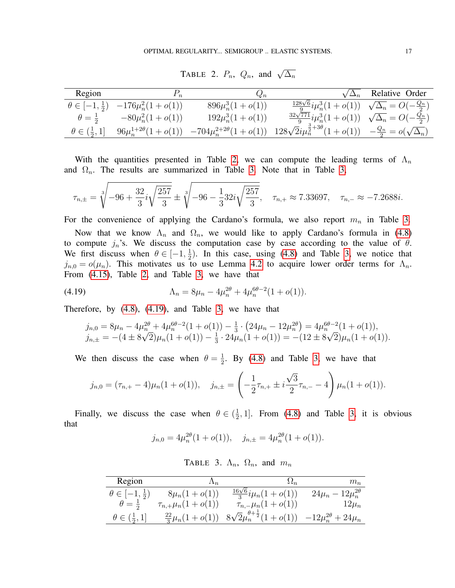| Region                        |                                                      | $Q_n$                           |                                                                           | Relative Order                        |
|-------------------------------|------------------------------------------------------|---------------------------------|---------------------------------------------------------------------------|---------------------------------------|
|                               | $\theta \in [-1, \frac{1}{2})$ $-176\mu_n^2(1+o(1))$ | $896\mu_n^3(1+o(1))$            | $\frac{128\sqrt{6}}{9}i\mu_n^3(1+o(1))\sqrt{\Delta_n}=O(-\frac{Q_n}{2})$  |                                       |
| $\theta = \frac{1}{2}$        | $-80\mu_n^2(1+o(1))$                                 | $192\mu_n^3(1+o(1))$            | $\frac{32\sqrt{771}}{9}i\mu_n^3(1+o(1))\sqrt{\Delta_n}=O(-\frac{Q_n}{2})$ |                                       |
| $\theta \in (\frac{1}{2}, 1]$ | $96\mu_n^{1+2\theta}(1+o(1))$                        | $-704\mu_n^{2+2\theta}(1+o(1))$ | $128\sqrt{2}i\mu_n^{\frac{3}{2}+3\theta}(1+o(1))$                         | $-\frac{Q_n}{2} = o(\sqrt{\Delta_n})$ |

<span id="page-16-0"></span>TABLE 2.  $P_n$ ,  $Q_n$ , and  $\sqrt{\Delta_n}$ 

With the quantities presented in Table [2,](#page-16-0) we can compute the leading terms of  $\Lambda_n$ and  $\Omega_n$ . The results are summarized in Table [3.](#page-16-1) Note that in Table [3,](#page-16-1)

$$
\tau_{n,\pm} = \sqrt[3]{-96 + \frac{32}{3}i\sqrt{\frac{257}{3}}} \pm \sqrt[3]{-96 - \frac{1}{3}32i\sqrt{\frac{257}{3}}}, \quad \tau_{n,+} \approx 7.33697, \quad \tau_{n,-} \approx -7.2688i.
$$

For the convenience of applying the Cardano's formula, we also report  $m_n$  in Table [3.](#page-16-1)

Now that we know  $\Lambda_n$  and  $\Omega_n$ , we would like to apply Cardano's formula in [\(4.8\)](#page-12-3) to compute  $j_n$ 's. We discuss the computation case by case according to the value of  $\theta$ . We first discuss when  $\theta \in [-1, \frac{1}{2}]$  $\frac{1}{2}$ ). In this case, using [\(4.8\)](#page-12-3) and Table [3,](#page-16-1) we notice that  $j_{n,0} = o(\mu_n)$ . This motivates us to use Lemma [4.2](#page-14-0) to acquire lower order terms for  $\Lambda_n$ . From [\(4.15\)](#page-14-4), Table [2,](#page-16-0) and Table [3,](#page-16-1) we have that

(4.19) 
$$
\Lambda_n = 8\mu_n - 4\mu_n^{2\theta} + 4\mu_n^{6\theta - 2}(1 + o(1)).
$$

Therefore, by [\(4.8\)](#page-12-3), [\(4.19\)](#page-16-2), and Table [3,](#page-16-1) we have that

<span id="page-16-2"></span>
$$
\begin{aligned}\nj_{n,0} &= 8\mu_n - 4\mu_n^{2\theta} + 4\mu_n^{6\theta - 2}(1 + o(1)) - \frac{1}{3} \cdot \left(24\mu_n - 12\mu_n^{2\theta}\right) = 4\mu_n^{6\theta - 2}(1 + o(1)), \\
j_{n,\pm} &= -(4 \pm 8\sqrt{2})\mu_n(1 + o(1)) - \frac{1}{3} \cdot 24\mu_n(1 + o(1)) = -(12 \pm 8\sqrt{2})\mu_n(1 + o(1)).\n\end{aligned}
$$

We then discuss the case when  $\theta = \frac{1}{2}$  $\frac{1}{2}$ . By [\(4.8\)](#page-12-3) and Table [3,](#page-16-1) we have that

$$
j_{n,0} = (\tau_{n,+} - 4)\mu_n(1+o(1)), \quad j_{n,\pm} = \left(-\frac{1}{2}\tau_{n,+} \pm i\frac{\sqrt{3}}{2}\tau_{n,-} - 4\right)\mu_n(1+o(1)).
$$

Finally, we discuss the case when  $\theta \in (\frac{1}{2})$  $\frac{1}{2}$ , 1]. From [\(4.8\)](#page-12-3) and Table [3,](#page-16-1) it is obvious that

$$
j_{n,0} = 4\mu_n^{2\theta}(1+o(1)), \quad j_{n,\pm} = 4\mu_n^{2\theta}(1+o(1)).
$$

<span id="page-16-1"></span>TABLE 3.  $\Lambda_n$ ,  $\Omega_n$ , and  $m_n$ 

| Region                                   |                             |                                                                          | $m_n$                         |
|------------------------------------------|-----------------------------|--------------------------------------------------------------------------|-------------------------------|
| $\theta \in \left[-1,\frac{1}{2}\right)$ | $8\mu_n(1+o(1))$            | $\frac{16\sqrt{6}}{3}i\mu_n(1+o(1))$                                     | $24\mu_n - 12\mu_n^{2\theta}$ |
| $\theta = \frac{1}{2}$                   | $\tau_{n,+}\mu_n(1+o(1))$   | $\tau_{n,-}\mu_n(1+o(1))$                                                | $12\mu_n$                     |
| $\theta \in (\frac{1}{2}, 1]$            | $\frac{22}{3}\mu_n(1+o(1))$ | $8\sqrt{2}\mu_n^{\theta+\frac{1}{2}}(1+o(1)) -12\mu_n^{2\theta}+24\mu_n$ |                               |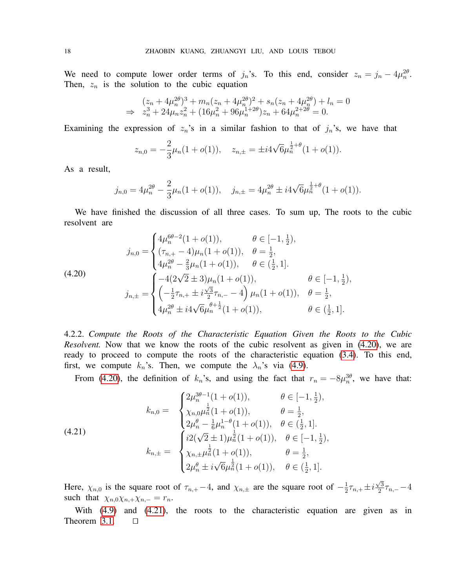We need to compute lower order terms of  $j_n$ 's. To this end, consider  $z_n = j_n - 4\mu_n^{2\theta}$ . Then,  $z_n$  is the solution to the cubic equation

$$
(z_n + 4\mu_n^{2\theta})^3 + m_n(z_n + 4\mu_n^{2\theta})^2 + s_n(z_n + 4\mu_n^{2\theta}) + l_n = 0
$$
  
\n
$$
\Rightarrow z_n^3 + 24\mu_n z_n^2 + (16\mu_n^2 + 96\mu_n^{1+2\theta})z_n + 64\mu_n^{2+2\theta} = 0.
$$

Examining the expression of  $z_n$ 's in a similar fashion to that of  $j_n$ 's, we have that

$$
z_{n,0} = -\frac{2}{3}\mu_n(1+o(1)), \quad z_{n,\pm} = \pm i4\sqrt{6}\mu_n^{\frac{1}{2}+\theta}(1+o(1)).
$$

As a result,

$$
j_{n,0} = 4\mu_n^{2\theta} - \frac{2}{3}\mu_n(1+o(1)), \quad j_{n,\pm} = 4\mu_n^{2\theta} \pm i4\sqrt{6}\mu_n^{\frac{1}{2}+\theta}(1+o(1)).
$$

We have finished the discussion of all three cases. To sum up, The roots to the cubic resolvent are

<span id="page-17-1"></span>
$$
j_{n,0} = \begin{cases} 4\mu_n^{6\theta - 2}(1 + o(1)), & \theta \in [-1, \frac{1}{2}), \\ (\tau_{n,+} - 4)\mu_n(1 + o(1)), & \theta = \frac{1}{2}, \\ 4\mu_n^{2\theta} - \frac{2}{3}\mu_n(1 + o(1)), & \theta \in (\frac{1}{2}, 1]. \end{cases}
$$
  
(4.20)  

$$
j_{n,\pm} = \begin{cases} -4(2\sqrt{2} \pm 3)\mu_n(1 + o(1)), & \theta \in [-1, \frac{1}{2}), \\ \left(-\frac{1}{2}\tau_{n,+} \pm i\frac{\sqrt{3}}{2}\tau_{n,-} - 4\right)\mu_n(1 + o(1)), & \theta = \frac{1}{2}, \\ 4\mu_n^{2\theta} \pm i4\sqrt{6}\mu_n^{\theta + \frac{1}{2}}(1 + o(1)), & \theta \in (\frac{1}{2}, 1]. \end{cases}
$$

<span id="page-17-0"></span>4.2.2. *Compute the Roots of the Characteristic Equation Given the Roots to the Cubic Resolvent.* Now that we know the roots of the cubic resolvent as given in  $(4.20)$ , we are ready to proceed to compute the roots of the characteristic equation [\(3.4\)](#page-9-0). To this end, first, we compute  $k_n$ 's. Then, we compute the  $\lambda_n$ 's via [\(4.9\)](#page-12-4).

<span id="page-17-2"></span>From [\(4.20\)](#page-17-1), the definition of  $k_n$ 's, and using the fact that  $r_n = -8\mu_n^{3\theta}$ , we have that:

(4.21) 
$$
k_{n,0} = \begin{cases} 2\mu_n^{3\theta-1}(1+o(1)), & \theta \in [-1, \frac{1}{2}), \\ \chi_{n,0}\mu_n^{\frac{1}{2}}(1+o(1)), & \theta = \frac{1}{2}, \\ 2\mu_n^{\theta} - \frac{1}{6}\mu_n^{1-\theta}(1+o(1)), & \theta \in (\frac{1}{2}, 1]. \end{cases}
$$

$$
k_{n,\pm} = \begin{cases} i2(\sqrt{2} \pm 1)\mu_n^{\frac{1}{2}}(1+o(1)), & \theta \in [-1, \frac{1}{2}), \\ \chi_{n,\pm}\mu_n^{\frac{1}{2}}(1+o(1)), & \theta = \frac{1}{2}, \\ 2\mu_n^{\theta} \pm i\sqrt{6}\mu_n^{\frac{1}{2}}(1+o(1)), & \theta \in (\frac{1}{2}, 1]. \end{cases}
$$

Here,  $\chi_{n,0}$  is the square root of  $\tau_{n,+}$  – 4, and  $\chi_{n,\pm}$  are the square root of  $-\frac{1}{2}$  $\frac{1}{2}\tau_{n,+} \pm i$  $\sqrt{3}$  $\frac{73}{2}$  $\tau_{n,-}$   $-4$ such that  $\chi_{n,0}\chi_{n,+}\chi_{n,-}=r_n$ .

With [\(4.9\)](#page-12-4) and [\(4.21\)](#page-17-2), the roots to the characteristic equation are given as in Theorem [3.1.](#page-9-1)  $\Box$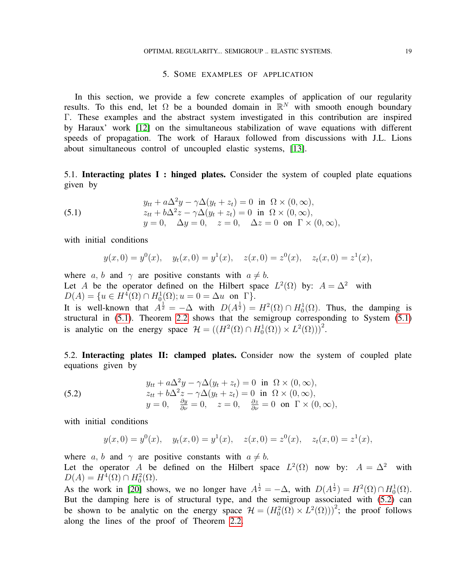## 5. SOME EXAMPLES OF APPLICATION

<span id="page-18-0"></span>In this section, we provide a few concrete examples of application of our regularity results. To this end, let  $\Omega$  be a bounded domain in  $\mathbb{R}^N$  with smooth enough boundary Γ. These examples and the abstract system investigated in this contribution are inspired by Haraux' work [\[12\]](#page-19-16) on the simultaneous stabilization of wave equations with different speeds of propagation. The work of Haraux followed from discussions with J.L. Lions about simultaneous control of uncoupled elastic systems, [\[13\]](#page-19-17).

<span id="page-18-1"></span>5.1. Interacting plates I : hinged plates. Consider the system of coupled plate equations given by

(5.1) 
$$
y_{tt} + a\Delta^2 y - \gamma \Delta (y_t + z_t) = 0 \text{ in } \Omega \times (0, \infty),
$$

$$
z_{tt} + b\Delta^2 z - \gamma \Delta (y_t + z_t) = 0 \text{ in } \Omega \times (0, \infty),
$$

$$
y = 0, \quad \Delta y = 0, \quad z = 0, \quad \Delta z = 0 \text{ on } \Gamma \times (0, \infty),
$$

with initial conditions

<span id="page-18-3"></span>
$$
y(x, 0) = y^{0}(x),
$$
  $y_{t}(x, 0) = y^{1}(x),$   $z(x, 0) = z^{0}(x),$   $z_{t}(x, 0) = z^{1}(x),$ 

where a, b and  $\gamma$  are positive constants with  $a \neq b$ . Let A be the operator defined on the Hilbert space  $L^2(\Omega)$  by:  $A = \Delta^2$  with  $D(A) = \{u \in H^4(\Omega) \cap H_0^1(\Omega); u = 0 = \Delta u \text{ on } \Gamma\}.$ 

It is well-known that  $A^{\frac{1}{2}} = -\Delta$  with  $D(A^{\frac{1}{2}}) = H^2(\Omega) \cap H_0^1(\Omega)$ . Thus, the damping is structural in [\(5.1\)](#page-18-3). Theorem [2.2](#page-4-4) shows that the semigroup corresponding to System [\(5.1\)](#page-18-3) is analytic on the energy space  $\mathcal{H} = ((H^2(\Omega) \cap H_0^1(\Omega)) \times L^2(\Omega)))^2$ .

<span id="page-18-2"></span>5.2. Interacting plates II: clamped plates. Consider now the system of coupled plate equations given by

(5.2) 
$$
y_{tt} + a\Delta^2 y - \gamma \Delta (y_t + z_t) = 0 \text{ in } \Omega \times (0, \infty),
$$

$$
z_{tt} + b\Delta^2 z - \gamma \Delta (y_t + z_t) = 0 \text{ in } \Omega \times (0, \infty),
$$

$$
y = 0, \quad \frac{\partial y}{\partial \nu} = 0, \quad z = 0, \quad \frac{\partial z}{\partial \nu} = 0 \text{ on } \Gamma \times (0, \infty),
$$

with initial conditions

<span id="page-18-4"></span>
$$
y(x, 0) = y0(x),
$$
  $yt(x, 0) = y1(x),$   $z(x, 0) = z0(x),$   $zt(x, 0) = z1(x),$ 

where a, b and  $\gamma$  are positive constants with  $a \neq b$ . Let the operator A be defined on the Hilbert space  $L^2(\Omega)$  now by:  $A = \Delta^2$  with  $D(A) = H^4(\Omega) \cap H_0^2(\Omega).$ 

As the work in [\[20\]](#page-20-10) shows, we no longer have  $A^{\frac{1}{2}} = -\Delta$ , with  $D(A^{\frac{1}{2}}) = H^2(\Omega) \cap H_0^1(\Omega)$ . But the damping here is of structural type, and the semigroup associated with  $(5.2)$  can be shown to be analytic on the energy space  $\mathcal{H} = (H_0^2(\Omega) \times L^2(\Omega)))^2$ ; the proof follows along the lines of the proof of Theorem [2.2.](#page-4-4)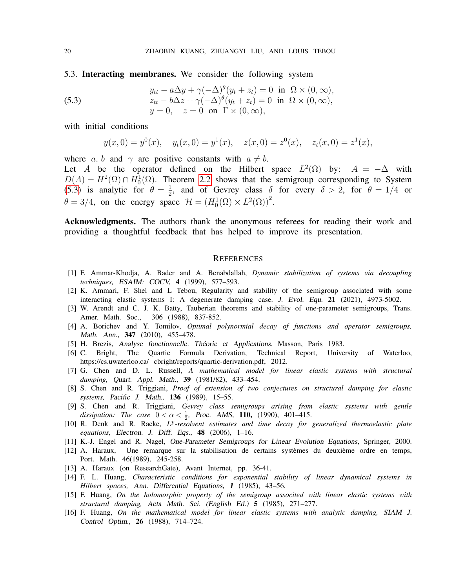<span id="page-19-1"></span>5.3. Interacting membranes. We consider the following system

(5.3) 
$$
y_{tt} - a\Delta y + \gamma(-\Delta)^{\theta}(y_t + z_t) = 0 \text{ in } \Omega \times (0, \infty),
$$

$$
z_{tt} - b\Delta z + \gamma(-\Delta)^{\theta}(y_t + z_t) = 0 \text{ in } \Omega \times (0, \infty),
$$

$$
y = 0, \quad z = 0 \text{ on } \Gamma \times (0, \infty),
$$

with initial conditions

<span id="page-19-18"></span>
$$
y(x, 0) = y0(x),
$$
  $yt(x, 0) = y1(x),$   $z(x, 0) = z0(x),$   $zt(x, 0) = z1(x),$ 

where a, b and  $\gamma$  are positive constants with  $a \neq b$ .

Let A be the operator defined on the Hilbert space  $L^2(\Omega)$  by:  $A = -\Delta$  with  $D(A) = H^2(\Omega) \cap H_0^1(\Omega)$ . Theorem [2.2](#page-4-4) shows that the semigroup corresponding to System [\(5.3\)](#page-19-18) is analytic for  $\theta = \frac{1}{2}$  $\frac{1}{2}$ , and of Gevrey class  $\delta$  for every  $\delta > 2$ , for  $\theta = 1/4$  or  $\theta = 3/4$ , on the energy space  $\mathcal{H} = (H_0^1(\Omega) \times L^2(\Omega))^2$ .

Acknowledgments. The authors thank the anonymous referees for reading their work and providing a thoughtful feedback that has helped to improve its presentation.

#### <span id="page-19-2"></span>**REFERENCES**

- <span id="page-19-6"></span>[1] F. Ammar-Khodja, A. Bader and A. Benabdallah, *Dynamic stabilization of systems via decoupling techniques,* ESAIM: COCV, 4 (1999), 577–593.
- <span id="page-19-0"></span>[2] K. Ammari, F. Shel and L Tebou, Regularity and stability of the semigroup associated with some interacting elastic systems I: A degenerate damping case. J. Evol. Equ. 21 (2021), 4973-5002.
- <span id="page-19-12"></span>[3] W. Arendt and C. J. K. Batty, Tauberian theorems and stability of one-parameter semigroups, Trans. Amer. Math. Soc., 306 (1988), 837-852.
- <span id="page-19-10"></span>[4] A. Borichev and Y. Tomilov, *Optimal polynormial decay of functions and operator semigroups,* Math. Ann., 347 (2010), 455–478.
- <span id="page-19-13"></span>[5] H. Brezis, Analyse fonctionnelle. Théorie et Applications. Masson, Paris 1983.
- <span id="page-19-15"></span>[6] C. Bright, The Quartic Formula Derivation, Technical Report, University of Waterloo, https://cs.uwaterloo.ca/ cbright/reports/quartic-derivation.pdf, 2012.
- <span id="page-19-3"></span>[7] G. Chen and D. L. Russell, *A mathematical model for linear elastic systems with structural damping,* Quart. Appl. Math., 39 (1981/82), 433–454.
- <span id="page-19-4"></span>[8] S. Chen and R. Triggiani, *Proof of extension of two conjectures on structural damping for elastic systems,* Pacific J. Math., 136 (1989), 15–55.
- <span id="page-19-5"></span>[9] S. Chen and R. Triggiani, *Gevrey class semigroups arising from elastic systems with gentle dissipation:* The case  $0 < \alpha < \frac{1}{2}$ , Proc. AMS, 110, (1990), 401–415.
- <span id="page-19-7"></span>[10] R. Denk and R. Racke, L<sup>p</sup>-resolvent estimates and time decay for generalized thermoelastic plate *equations,* Electron. J. Diff. Eqs., 48 (2006), 1–16.
- <span id="page-19-14"></span>[11] K.-J. Engel and R. Nagel, One-Parameter Semigroups for Linear Evolution Equations, Springer, 2000.
- <span id="page-19-16"></span> $[12]$  A. Haraux, Une remarque sur la stabilisation de certains systèmes du deuxième ordre en temps, Port. Math. 46(1989), 245-258.
- <span id="page-19-17"></span>[13] A. Haraux (on ResearchGate), Avant Internet, pp. 36-41.
- <span id="page-19-11"></span>[14] F. L. Huang, *Characteristic conditions for exponential stability of linear dynamical systems in Hilbert spaces,* Ann. Differential Equations, 1 (1985), 43–56.
- <span id="page-19-8"></span>[15] F. Huang, *On the holomorphic property of the semigroup associted with linear elastic systems with structural damping,* Acta Math. Sci. (English Ed.) 5 (1985), 271–277.
- <span id="page-19-9"></span>[16] F. Huang, *On the mathematical model for linear elastic systems with analytic damping,* SIAM J. Control Optim., 26 (1988), 714–724.